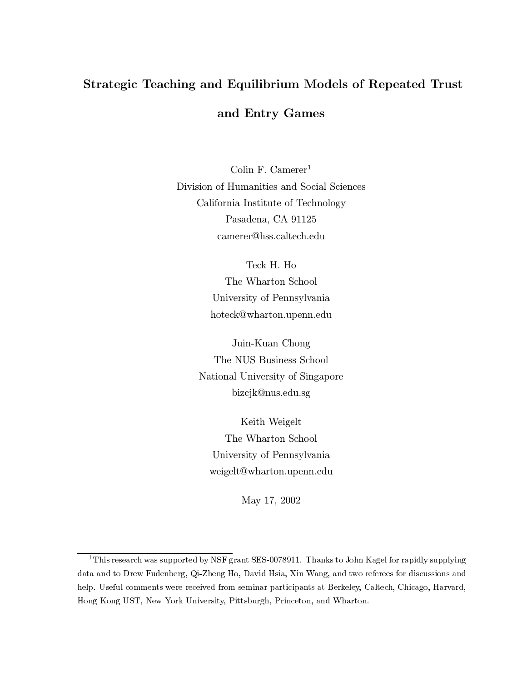# Strategic Teaching and Equilibrium Models of Repeated Trust and Entry Games

Colin F. Camerer<sup>1</sup> Division of Humanities and Social Sciences California Institute of Technology Pasadena, CA 91125 camerer@hss.caltech.edu

> Teck H. Ho The Wharton School University of Pennsylvania hoteck@wharton.upenn.edu

Juin-Kuan Chong The NUS Business School National University of Singapore bizcjk@nus.edu.sg

Keith Weigelt The Wharton School University of Pennsylvania weigelt@wharton.upenn.edu

May 17, 2002

<sup>&</sup>lt;sup>1</sup>This research was supported by NSF grant SES-0078911. Thanks to John Kagel for rapidly supplying data and to Drew Fudenberg, Qi-Zheng Ho, David Hsia, Xin Wang, and two referees for discussions and help. Useful comments were received from seminar participants at Berkeley, Caltech, Chicago, Harvard, Hong Kong UST, New York University, Pittsburgh, Princeton, and Wharton.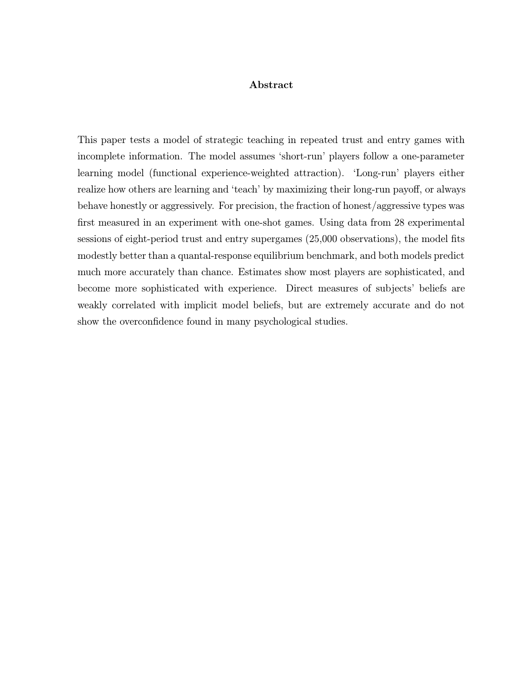### Abstract

This paper tests a model of strategic teaching in repeated trust and entry games with incomplete information. The model assumes 'short-run' players follow a one-parameter learning model (functional experience-weighted attraction). 'Long-run' players either realize how others are learning and 'teach' by maximizing their long-run payoff, or always behave honestly or aggressively. For precision, the fraction of honest/aggressive types was first measured in an experiment with one-shot games. Using data from 28 experimental sessions of eight-period trust and entry supergames (25,000 observations), the model fits modestly better than a quantal-response equilibrium benchmark, and both models predict much more accurately than chance. Estimates show most players are sophisticated, and become more sophisticated with experience. Direct measures of subjects' beliefs are weakly correlated with implicit model beliefs, but are extremely accurate and do not show the overconfidence found in many psychological studies.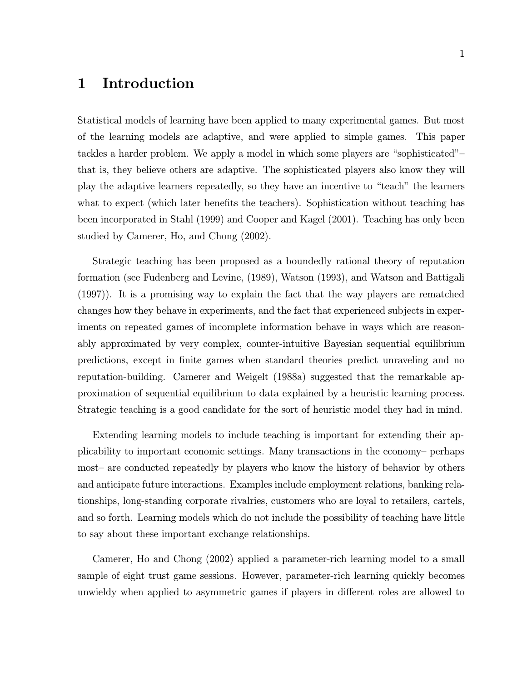### Introduction  $\mathbf{1}$

Statistical models of learning have been applied to many experimental games. But most of the learning models are adaptive, and were applied to simple games. This paper tackles a harder problem. We apply a model in which some players are "sophisticated"that is, they believe others are adaptive. The sophisticated players also know they will play the adaptive learners repeatedly, so they have an incentive to "teach" the learners what to expect (which later benefits the teachers). Sophistication without teaching has been incorporated in Stahl (1999) and Cooper and Kagel (2001). Teaching has only been studied by Camerer, Ho, and Chong (2002).

Strategic teaching has been proposed as a boundedly rational theory of reputation formation (see Fudenberg and Levine, (1989), Watson (1993), and Watson and Battigali  $(1997)$ ). It is a promising way to explain the fact that the way players are rematched changes how they behave in experiments, and the fact that experienced subjects in experiments on repeated games of incomplete information behave in ways which are reasonably approximated by very complex, counter-intuitive Bayesian sequential equilibrium predictions, except in finite games when standard theories predict unraveling and no reputation-building. Camerer and Weigelt (1988a) suggested that the remarkable approximation of sequential equilibrium to data explained by a heuristic learning process. Strategic teaching is a good candidate for the sort of heuristic model they had in mind.

Extending learning models to include teaching is important for extending their applicability to important economic settings. Many transactions in the economy- perhaps most- are conducted repeatedly by players who know the history of behavior by others and anticipate future interactions. Examples include employment relations, banking relationships, long-standing corporate rivalries, customers who are loyal to retailers, cartels, and so forth. Learning models which do not include the possibility of teaching have little to say about these important exchange relationships.

Camerer, Ho and Chong (2002) applied a parameter-rich learning model to a small sample of eight trust game sessions. However, parameter-rich learning quickly becomes unwieldy when applied to asymmetric games if players in different roles are allowed to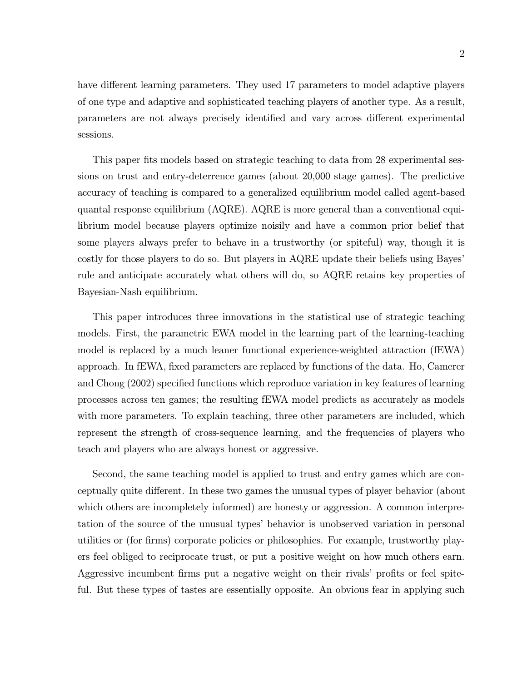$\overline{2}$ 

have different learning parameters. They used 17 parameters to model adaptive players of one type and adaptive and sophisticated teaching players of another type. As a result, parameters are not always precisely identified and vary across different experimental sessions.

This paper fits models based on strategic teaching to data from 28 experimental sessions on trust and entry-deterrence games (about 20,000 stage games). The predictive accuracy of teaching is compared to a generalized equilibrium model called agent-based quantal response equilibrium (AQRE). AQRE is more general than a conventional equilibrium model because players optimize noisily and have a common prior belief that some players always prefer to behave in a trustworthy (or spiteful) way, though it is costly for those players to do so. But players in AQRE update their beliefs using Bayes' rule and anticipate accurately what others will do, so AQRE retains key properties of Bayesian-Nash equilibrium.

This paper introduces three innovations in the statistical use of strategic teaching models. First, the parametric EWA model in the learning part of the learning-teaching model is replaced by a much leaner functional experience-weighted attraction (fEWA) approach. In fEWA, fixed parameters are replaced by functions of the data. Ho, Camerer and Chong (2002) specified functions which reproduce variation in key features of learning processes across ten games; the resulting fEWA model predicts as accurately as models with more parameters. To explain teaching, three other parameters are included, which represent the strength of cross-sequence learning, and the frequencies of players who teach and players who are always honest or aggressive.

Second, the same teaching model is applied to trust and entry games which are conceptually quite different. In these two games the unusual types of player behavior (about which others are incompletely informed) are honesty or aggression. A common interpretation of the source of the unusual types' behavior is unobserved variation in personal utilities or (for firms) corporate policies or philosophies. For example, trustworthy players feel obliged to reciprocate trust, or put a positive weight on how much others earn. Aggressive incumbent firms put a negative weight on their rivals' profits or feel spiteful. But these types of tastes are essentially opposite. An obvious fear in applying such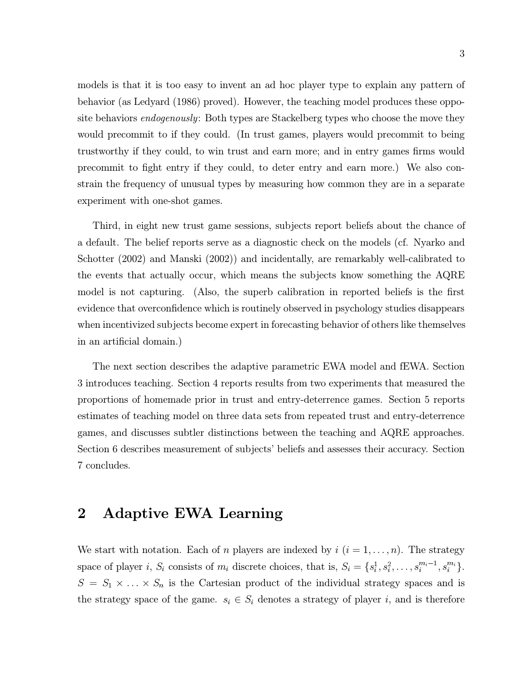models is that it is too easy to invent an ad hoc player type to explain any pattern of behavior (as Ledyard (1986) proved). However, the teaching model produces these opposite behaviors *endogenously*: Both types are Stackelberg types who choose the move they would precommit to if they could. (In trust games, players would precommit to being trustworthy if they could, to win trust and earn more; and in entry games firms would precommit to fight entry if they could, to deter entry and earn more.) We also constrain the frequency of unusual types by measuring how common they are in a separate experiment with one-shot games.

Third, in eight new trust game sessions, subjects report beliefs about the chance of a default. The belief reports serve as a diagnostic check on the models (cf. Nyarko and Schotter (2002) and Manski (2002)) and incidentally, are remarkably well-calibrated to the events that actually occur, which means the subjects know something the AQRE model is not capturing. (Also, the superb calibration in reported beliefs is the first evidence that overconfidence which is routinely observed in psychology studies disappears when incentivized subjects become expert in forecasting behavior of others like themselves in an artificial domain.)

The next section describes the adaptive parametric EWA model and fEWA. Section 3 introduces teaching. Section 4 reports results from two experiments that measured the proportions of homemade prior in trust and entry-deterrence games. Section 5 reports estimates of teaching model on three data sets from repeated trust and entry-deterrence games, and discusses subtler distinctions between the teaching and AQRE approaches. Section 6 describes measurement of subjects' beliefs and assesses their accuracy. Section 7 concludes.

### **Adaptive EWA Learning**  $\overline{2}$

We start with notation. Each of *n* players are indexed by  $i$  ( $i = 1, ..., n$ ). The strategy space of player *i*,  $S_i$  consists of  $m_i$  discrete choices, that is,  $S_i = \{s_i^1, s_i^2, \ldots, s_i^{m_i-1}, s_i^{m_i}\}.$  $S = S_1 \times \ldots \times S_n$  is the Cartesian product of the individual strategy spaces and is the strategy space of the game.  $s_i \in S_i$  denotes a strategy of player i, and is therefore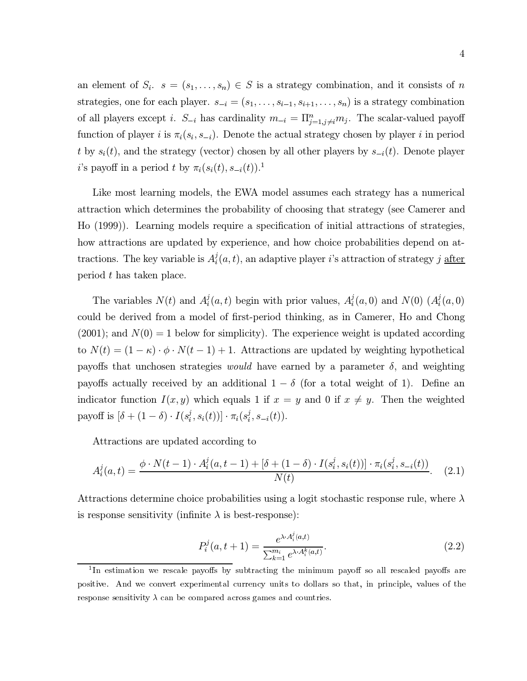an element of  $S_i$ .  $s = (s_1, \ldots, s_n) \in S$  is a strategy combination, and it consists of n strategies, one for each player.  $s_{-i} = (s_1, \ldots, s_{i-1}, s_{i+1}, \ldots, s_n)$  is a strategy combination of all players except *i*.  $S_{-i}$  has cardinality  $m_{-i} = \prod_{j=1, j\neq i}^{n} m_j$ . The scalar-valued payoff function of player i is  $\pi_i(s_i, s_{-i})$ . Denote the actual strategy chosen by player i in period t by  $s_i(t)$ , and the strategy (vector) chosen by all other players by  $s_{-i}(t)$ . Denote player *i*'s payoff in a period t by  $\pi_i(s_i(t), s_{-i}(t))$ .<sup>1</sup>

Like most learning models, the EWA model assumes each strategy has a numerical attraction which determines the probability of choosing that strategy (see Camerer and Ho (1999). Learning models require a specification of initial attractions of strategies, how attractions are updated by experience, and how choice probabilities depend on attractions. The key variable is  $A_i^j(a, t)$ , an adaptive player i's attraction of strategy j after period  $t$  has taken place.

The variables  $N(t)$  and  $A_i^j(a,t)$  begin with prior values,  $A_i^j(a,0)$  and  $N(0)$   $(A_i^j(a,0)$ could be derived from a model of first-period thinking, as in Camerer, Ho and Chong  $(2001)$ ; and  $N(0) = 1$  below for simplicity). The experience weight is updated according to  $N(t) = (1 - \kappa) \cdot \phi \cdot N(t - 1) + 1$ . Attractions are updated by weighting hypothetical payoffs that unchosen strategies *would* have earned by a parameter  $\delta$ , and weighting payoffs actually received by an additional  $1 - \delta$  (for a total weight of 1). Define an indicator function  $I(x, y)$  which equals 1 if  $x = y$  and 0 if  $x \neq y$ . Then the weighted payoff is  $[\delta + (1 - \delta) \cdot I(s_i^j, s_i(t))] \cdot \pi_i(s_i^j, s_{-i}(t)).$ 

Attractions are updated according to

$$
A_i^j(a,t) = \frac{\phi \cdot N(t-1) \cdot A_i^j(a,t-1) + [\delta + (1-\delta) \cdot I(s_i^j, s_i(t))] \cdot \pi_i(s_i^j, s_{-i}(t))}{N(t)}.
$$
 (2.1)

Attractions determine choice probabilities using a logit stochastic response rule, where  $\lambda$ is response sensitivity (infinite  $\lambda$  is best-response):

$$
P_i^j(a, t+1) = \frac{e^{\lambda \cdot A_i^j(a, t)}}{\sum_{k=1}^{m_i} e^{\lambda \cdot A_i^k(a, t)}}.
$$
\n(2.2)

<sup>&</sup>lt;sup>1</sup>In estimation we rescale payoffs by subtracting the minimum payoff so all rescaled payoffs are positive. And we convert experimental currency units to dollars so that, in principle, values of the response sensitivity  $\lambda$  can be compared across games and countries.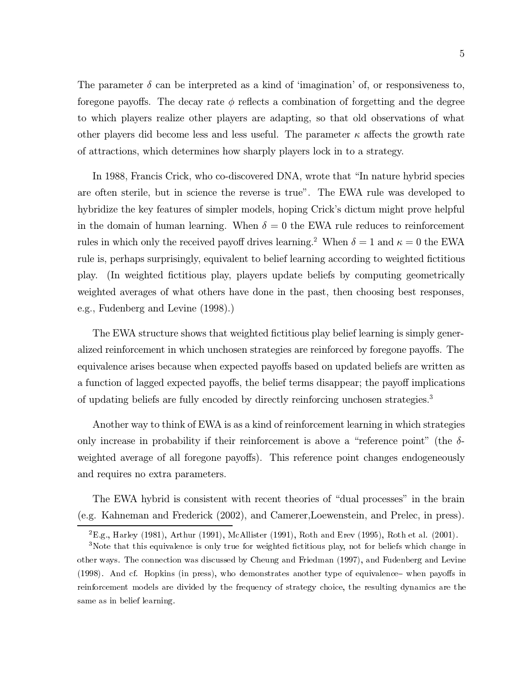The parameter  $\delta$  can be interpreted as a kind of 'imagination' of, or responsiveness to, foregone payoffs. The decay rate  $\phi$  reflects a combination of forgetting and the degree to which players realize other players are adapting, so that old observations of what other players did become less and less useful. The parameter  $\kappa$  affects the growth rate of attractions, which determines how sharply players lock in to a strategy.

In 1988, Francis Crick, who co-discovered DNA, wrote that "In nature hybrid species" are often sterile, but in science the reverse is true". The EWA rule was developed to hybridize the key features of simpler models, hoping Crick's dictum might prove helpful in the domain of human learning. When  $\delta = 0$  the EWA rule reduces to reinforcement rules in which only the received payoff drives learning.<sup>2</sup> When  $\delta = 1$  and  $\kappa = 0$  the EWA rule is, perhaps surprisingly, equivalent to belief learning according to weighted fictitious play. (In weighted fictitious play, players update beliefs by computing geometrically weighted averages of what others have done in the past, then choosing best responses, e.g., Fudenberg and Levine (1998).

The EWA structure shows that weighted fictitious play belief learning is simply generalized reinforcement in which unchosen strategies are reinforced by foregone payoffs. The equivalence arises because when expected payoffs based on updated beliefs are written as a function of lagged expected payoffs, the belief terms disappear; the payoff implications of updating beliefs are fully encoded by directly reinforcing unchosen strategies.<sup>3</sup>

Another way to think of EWA is as a kind of reinforcement learning in which strategies only increase in probability if their reinforcement is above a "reference point" (the  $\delta$ weighted average of all foregone payoffs). This reference point changes endogeneously and requires no extra parameters.

The EWA hybrid is consistent with recent theories of "dual processes" in the brain (e.g. Kahneman and Frederick (2002), and Camerer, Loewenstein, and Prelec, in press).

 ${}^{2}E.g.,$  Harley (1981), Arthur (1991), McAllister (1991), Roth and Erev (1995), Roth et al. (2001).

<sup>&</sup>lt;sup>3</sup>Note that this equivalence is only true for weighted fictitious play, not for beliefs which change in other ways. The connection was discussed by Cheung and Friedman (1997), and Fudenberg and Levine (1998). And cf. Hopkins (in press), who demonstrates another type of equivalence—when payoffs in reinforcement models are divided by the frequency of strategy choice, the resulting dynamics are the same as in belief learning.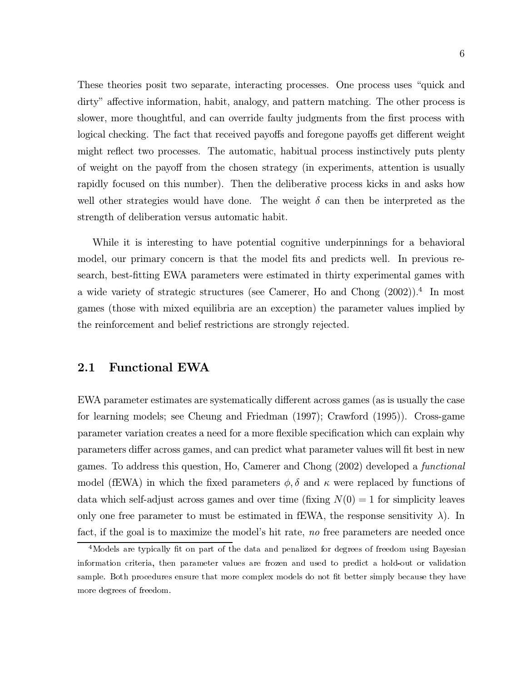These theories posit two separate, interacting processes. One process uses "quick and dirty" affective information, habit, analogy, and pattern matching. The other process is slower, more thoughtful, and can override faulty judgments from the first process with logical checking. The fact that received payoffs and foregone payoffs get different weight might reflect two processes. The automatic, habitual process instinctively puts plenty of weight on the payoff from the chosen strategy (in experiments, attention is usually rapidly focused on this number). Then the deliberative process kicks in and asks how well other strategies would have done. The weight  $\delta$  can then be interpreted as the strength of deliberation versus automatic habit.

While it is interesting to have potential cognitive underpinnings for a behavioral model, our primary concern is that the model fits and predicts well. In previous research, best-fitting EWA parameters were estimated in thirty experimental games with a wide variety of strategic structures (see Camerer, Ho and Chong  $(2002)$ ).<sup>4</sup> In most games (those with mixed equilibria are an exception) the parameter values implied by the reinforcement and belief restrictions are strongly rejected.

#### $2.1$ **Functional EWA**

EWA parameter estimates are systematically different across games (as is usually the case for learning models; see Cheung and Friedman (1997); Crawford (1995)). Cross-game parameter variation creates a need for a more flexible specification which can explain why parameters differ across games, and can predict what parameter values will fit best in new games. To address this question, Ho, Camerer and Chong (2002) developed a *functional* model (fEWA) in which the fixed parameters  $\phi$ ,  $\delta$  and  $\kappa$  were replaced by functions of data which self-adjust across games and over time (fixing  $N(0) = 1$  for simplicity leaves only one free parameter to must be estimated in fEWA, the response sensitivity  $\lambda$ ). In fact, if the goal is to maximize the model's hit rate, no free parameters are needed once

<sup>&</sup>lt;sup>4</sup>Models are typically fit on part of the data and penalized for degrees of freedom using Bayesian information criteria, then parameter values are frozen and used to predict a hold-out or validation sample. Both procedures ensure that more complex models do not fit better simply because they have more degrees of freedom.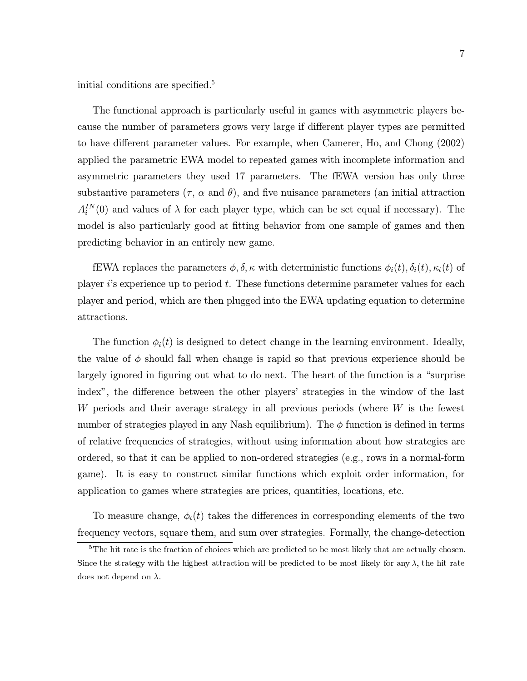initial conditions are specified.<sup>5</sup>

The functional approach is particularly useful in games with asymmetric players because the number of parameters grows very large if different player types are permitted to have different parameter values. For example, when Camerer, Ho, and Chong (2002) applied the parametric EWA model to repeated games with incomplete information and asymmetric parameters they used 17 parameters. The fEWA version has only three substantive parameters  $(\tau, \alpha \text{ and } \theta)$ , and five nuisance parameters (an initial attraction  $A_i^{IN}(0)$  and values of  $\lambda$  for each player type, which can be set equal if necessary). The model is also particularly good at fitting behavior from one sample of games and then predicting behavior in an entirely new game.

fEWA replaces the parameters  $\phi, \delta, \kappa$  with deterministic functions  $\phi_i(t), \delta_i(t), \kappa_i(t)$  of player i's experience up to period t. These functions determine parameter values for each player and period, which are then plugged into the EWA updating equation to determine attractions.

The function  $\phi_i(t)$  is designed to detect change in the learning environment. Ideally, the value of  $\phi$  should fall when change is rapid so that previous experience should be largely ignored in figuring out what to do next. The heart of the function is a "surprise" index", the difference between the other players' strategies in the window of the last W periods and their average strategy in all previous periods (where  $W$  is the fewest number of strategies played in any Nash equilibrium). The  $\phi$  function is defined in terms of relative frequencies of strategies, without using information about how strategies are ordered, so that it can be applied to non-ordered strategies (e.g., rows in a normal-form game). It is easy to construct similar functions which exploit order information, for application to games where strategies are prices, quantities, locations, etc.

To measure change,  $\phi_i(t)$  takes the differences in corresponding elements of the two frequency vectors, square them, and sum over strategies. Formally, the change-detection

 $5$ The hit rate is the fraction of choices which are predicted to be most likely that are actually chosen. Since the strategy with the highest attraction will be predicted to be most likely for any  $\lambda$ , the hit rate does not depend on  $\lambda$ .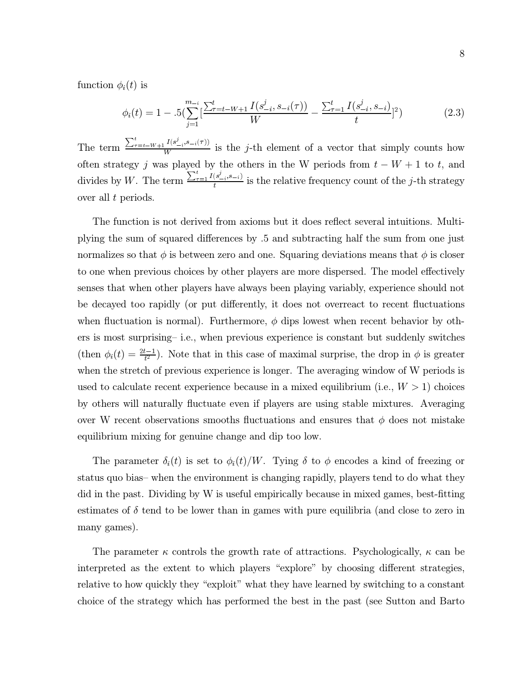function  $\phi_i(t)$  is

$$
\phi_i(t) = 1 - .5\left(\sum_{j=1}^{m_{-i}} \left[\frac{\sum_{\tau=t-W+1}^t I(s_{-i}^j, s_{-i}(\tau))}{W} - \frac{\sum_{\tau=1}^t I(s_{-i}^j, s_{-i})}{t}\right]^2\right)
$$
(2.3)

The term  $\frac{\sum_{\tau=t-W+1}^{t} I(s_{-i}^{j}, s_{-i}(\tau))}{W}$  is the *j*-th element of a vector that simply counts how often strategy j was played by the others in the W periods from  $t - W + 1$  to t, and divides by W. The term  $\frac{\sum_{\tau=1}^{t} I(s_{-i}^{j}, s_{-i})}{t}$  is the relative frequency count of the j-th strategy over all  $t$  periods.

The function is not derived from axioms but it does reflect several intuitions. Multiplying the sum of squared differences by .5 and subtracting half the sum from one just normalizes so that  $\phi$  is between zero and one. Squaring deviations means that  $\phi$  is closer to one when previous choices by other players are more dispersed. The model effectively senses that when other players have always been playing variably, experience should not be decayed too rapidly (or put differently, it does not overreact to recent fluctuations when fluctuation is normal). Furthermore,  $\phi$  dips lowest when recent behavior by others is most surprising– i.e., when previous experience is constant but suddenly switches (then  $\phi_i(t) = \frac{2t-1}{t^2}$ ). Note that in this case of maximal surprise, the drop in  $\phi$  is greater when the stretch of previous experience is longer. The averaging window of W periods is used to calculate recent experience because in a mixed equilibrium (i.e.,  $W > 1$ ) choices by others will naturally fluctuate even if players are using stable mixtures. Averaging over W recent observations smooths fluctuations and ensures that  $\phi$  does not mistake equilibrium mixing for genuine change and dip too low.

The parameter  $\delta_i(t)$  is set to  $\phi_i(t)/W$ . Tying  $\delta$  to  $\phi$  encodes a kind of freezing or status quo bias– when the environment is changing rapidly, players tend to do what they did in the past. Dividing by W is useful empirically because in mixed games, best-fitting estimates of  $\delta$  tend to be lower than in games with pure equilibria (and close to zero in many games).

The parameter  $\kappa$  controls the growth rate of attractions. Psychologically,  $\kappa$  can be interpreted as the extent to which players "explore" by choosing different strategies, relative to how quickly they "exploit" what they have learned by switching to a constant choice of the strategy which has performed the best in the past (see Sutton and Barto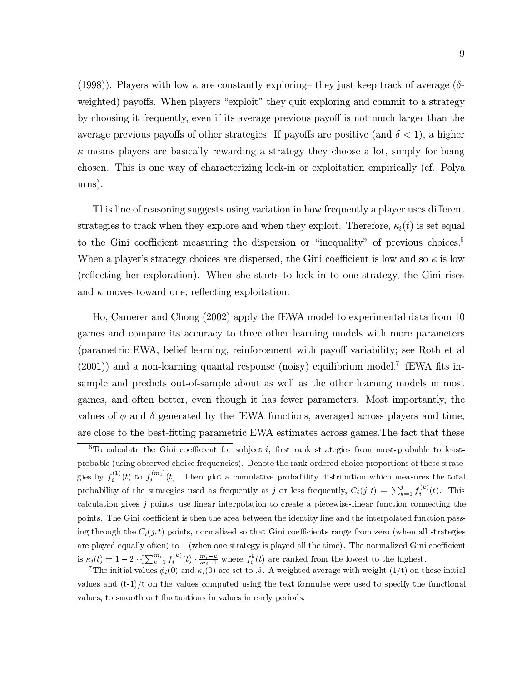(1998). Players with low  $\kappa$  are constantly exploring they just keep track of average ( $\delta$ weighted) payoffs. When players "exploit" they quit exploring and commit to a strategy by choosing it frequently, even if its average previous payoff is not much larger than the average previous payoffs of other strategies. If payoffs are positive (and  $\delta$  < 1), a higher  $\kappa$  means players are basically rewarding a strategy they choose a lot, simply for being chosen. This is one way of characterizing lock-in or exploitation empirically (cf. Polya urns).

This line of reasoning suggests using variation in how frequently a player uses different strategies to track when they explore and when they exploit. Therefore,  $\kappa_i(t)$  is set equal to the Gini coefficient measuring the dispersion or "inequality" of previous choices.<sup>6</sup> When a player's strategy choices are dispersed, the Gini coefficient is low and so  $\kappa$  is low (reflecting her exploration). When she starts to lock in to one strategy, the Gini rises and  $\kappa$  moves toward one, reflecting exploitation.

Ho, Camerer and Chong (2002) apply the fEWA model to experimental data from 10 games and compare its accuracy to three other learning models with more parameters (parametric EWA, belief learning, reinforcement with payoff variability; see Roth et al  $(2001)$  and a non-learning quantal response (noisy) equilibrium model. EWA fits insample and predicts out-of-sample about as well as the other learning models in most games, and often better, even though it has fewer parameters. Most importantly, the values of  $\phi$  and  $\delta$  generated by the fEWA functions, averaged across players and time, are close to the best-fitting parametric EWA estimates across games. The fact that these

 ${}^6$ To calculate the Gini coefficient for subject *i*, first rank strategies from most-probable to leastprobable (using observed choice frequencies). Denote the rank-ordered choice proportions of these strategies by  $f_i^{(1)}(t)$  to  $f_i^{(m_i)}(t)$ . Then plot a cumulative probability distribution which measures the total probability of the strategies used as frequently as j or less frequently,  $C_i(j,t) = \sum_{k=1}^j f_i^{(k)}(t)$ . This calculation gives  $j$  points; use linear interpolation to create a piecewise-linear function connecting the points. The Gini coefficient is then the area between the identity line and the interpolated function passing through the  $C_i(j,t)$  points, normalized so that Gini coefficients range from zero (when all strategies are played equally often) to 1 (when one strategy is played all the time). The normalized Gini coefficient is  $\kappa_i(t) = 1 - 2 \cdot {\sum_{k=1}^{m_i} f_i^{(k)}(t) \cdot \frac{m_i - k}{m_i - 1}}$  where  $f_i^k(t)$  are ranked from the lowest to the highest.<br><sup>7</sup>The initial values  $\phi_i(0)$  and  $\kappa_i(0)$  are set to .5. A weighted average with weight (1/t) on these i

values and  $(t-1)/t$  on the values computed using the text formulae were used to specify the functional values, to smooth out fluctuations in values in early periods.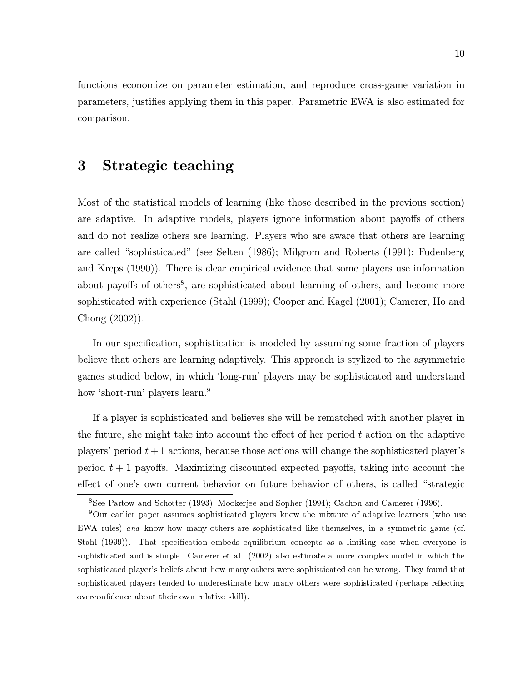functions economize on parameter estimation, and reproduce cross-game variation in parameters, justifies applying them in this paper. Parametric EWA is also estimated for comparison.

### 3 Strategic teaching

Most of the statistical models of learning (like those described in the previous section) are adaptive. In adaptive models, players ignore information about payoffs of others and do not realize others are learning. Players who are aware that others are learning are called "sophisticated" (see Selten (1986); Milgrom and Roberts (1991); Fudenberg and Kreps (1990)). There is clear empirical evidence that some players use information about payoffs of others<sup>8</sup>, are sophisticated about learning of others, and become more sophisticated with experience (Stahl (1999); Cooper and Kagel (2001); Camerer, Ho and Chong  $(2002)$ ).

In our specification, sophistication is modeled by assuming some fraction of players believe that others are learning adaptively. This approach is stylized to the asymmetric games studied below, in which 'long-run' players may be sophisticated and understand how 'short-run' players learn.<sup>9</sup>

If a player is sophisticated and believes she will be rematched with another player in the future, she might take into account the effect of her period  $t$  action on the adaptive players' period  $t+1$  actions, because those actions will change the sophisticated player's period  $t+1$  payoffs. Maximizing discounted expected payoffs, taking into account the effect of one's own current behavior on future behavior of others, is called "strategic

<sup>&</sup>lt;sup>8</sup>See Partow and Schotter (1993); Mookerjee and Sopher (1994); Cachon and Camerer (1996).

<sup>&</sup>lt;sup>9</sup>Our earlier paper assumes sophisticated players know the mixture of adaptive learners (who use EWA rules) and know how many others are sophisticated like themselves, in a symmetric game (cf. Stahl (1999)). That specification embeds equilibrium concepts as a limiting case when everyone is sophisticated and is simple. Camerer et al. (2002) also estimate a more complex model in which the sophisticated player's beliefs about how many others were sophisticated can be wrong. They found that sophisticated players tended to underestimate how many others were sophisticated (perhaps reflecting overconfidence about their own relative skill).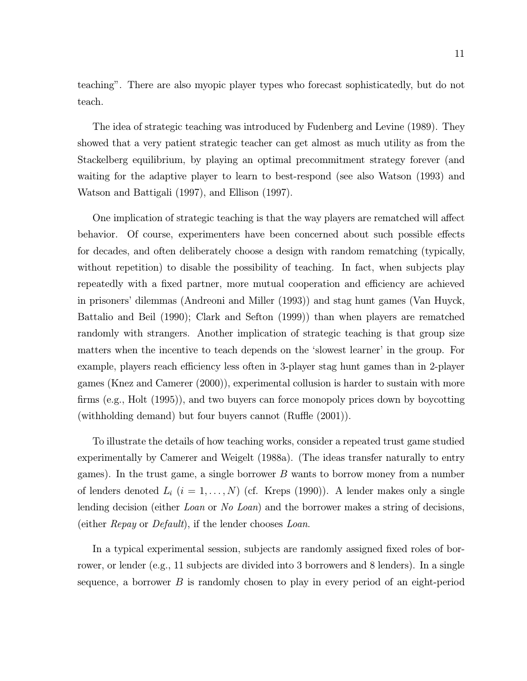teaching". There are also myopic player types who forecast sophisticatedly, but do not teach.

The idea of strategic teaching was introduced by Fudenberg and Levine (1989). They showed that a very patient strategic teacher can get almost as much utility as from the Stackelberg equilibrium, by playing an optimal precommitment strategy forever (and waiting for the adaptive player to learn to best-respond (see also Watson (1993) and Watson and Battigali (1997), and Ellison (1997).

One implication of strategic teaching is that the way players are rematched will affect behavior. Of course, experimenters have been concerned about such possible effects for decades, and often deliberately choose a design with random rematching (typically, without repetition) to disable the possibility of teaching. In fact, when subjects play repeatedly with a fixed partner, more mutual cooperation and efficiency are achieved in prisoners' dilemmas (Andreoni and Miller (1993)) and stag hunt games (Van Huyck, Battalio and Beil (1990); Clark and Sefton (1999)) than when players are rematched randomly with strangers. Another implication of strategic teaching is that group size matters when the incentive to teach depends on the 'slowest learner' in the group. For example, players reach efficiency less often in 3-player stag hunt games than in 2-player games (Knez and Camerer (2000)), experimental collusion is harder to sustain with more firms (e.g., Holt (1995)), and two buyers can force monopoly prices down by boycotting (with holding demand) but four buyers cannot (Ruffle  $(2001)$ ).

To illustrate the details of how teaching works, consider a repeated trust game studied experimentally by Camerer and Weigelt (1988a). (The ideas transfer naturally to entry games). In the trust game, a single borrower  $B$  wants to borrow money from a number of lenders denoted  $L_i$   $(i = 1, ..., N)$  (cf. Kreps (1990)). A lender makes only a single lending decision (either Loan or No Loan) and the borrower makes a string of decisions, (either *Repay* or *Default*), if the lender chooses *Loan*.

In a typical experimental session, subjects are randomly assigned fixed roles of borrower, or lender (e.g., 11 subjects are divided into 3 borrowers and 8 lenders). In a single sequence, a borrower  $B$  is randomly chosen to play in every period of an eight-period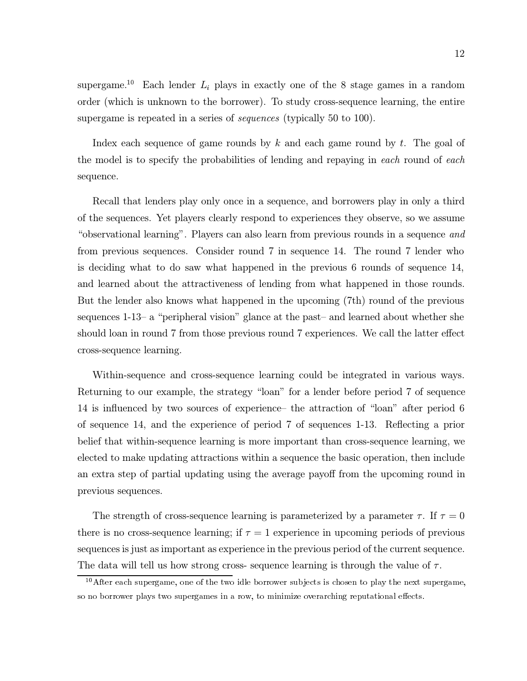supergame.<sup>10</sup> Each lender  $L_i$  plays in exactly one of the 8 stage games in a random order (which is unknown to the borrower). To study cross-sequence learning, the entire supergame is repeated in a series of *sequences* (typically 50 to 100).

Index each sequence of game rounds by  $k$  and each game round by  $t$ . The goal of the model is to specify the probabilities of lending and repaying in each round of each sequence.

Recall that lenders play only once in a sequence, and borrowers play in only a third of the sequences. Yet players clearly respond to experiences they observe, so we assume "observational learning". Players can also learn from previous rounds in a sequence and from previous sequences. Consider round 7 in sequence 14. The round 7 lender who is deciding what to do saw what happened in the previous 6 rounds of sequence 14, and learned about the attractiveness of lending from what happened in those rounds. But the lender also knows what happened in the upcoming (7th) round of the previous sequences 1-13- a "peripheral vision" glance at the past- and learned about whether she should loan in round 7 from those previous round 7 experiences. We call the latter effect cross-sequence learning.

Within-sequence and cross-sequence learning could be integrated in various ways. Returning to our example, the strategy "loan" for a lender before period 7 of sequence 14 is influenced by two sources of experience – the attraction of "loan" after period 6 of sequence 14, and the experience of period 7 of sequences 1-13. Reflecting a prior belief that within-sequence learning is more important than cross-sequence learning, we elected to make updating attractions within a sequence the basic operation, then include an extra step of partial updating using the average payoff from the upcoming round in previous sequences.

The strength of cross-sequence learning is parameterized by a parameter  $\tau$ . If  $\tau = 0$ there is no cross-sequence learning; if  $\tau = 1$  experience in upcoming periods of previous sequences is just as important as experience in the previous period of the current sequence. The data will tell us how strong cross-sequence learning is through the value of  $\tau$ .

 $10$  After each supergame, one of the two idle borrower subjects is chosen to play the next supergame, so no borrower plays two supergames in a row, to minimize overarching reputational effects.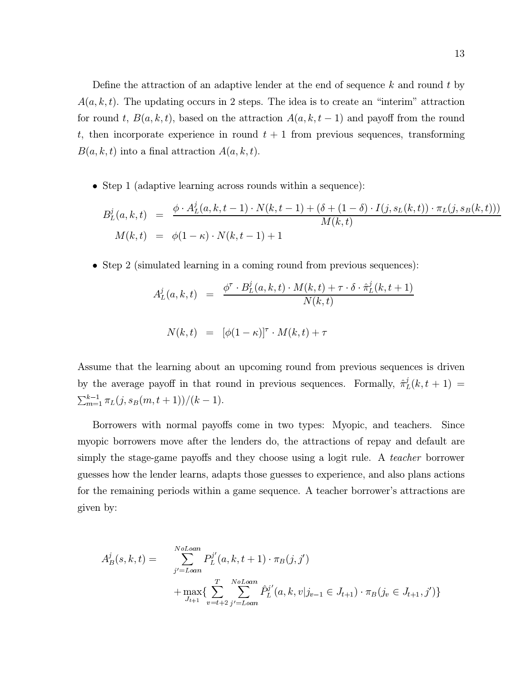Define the attraction of an adaptive lender at the end of sequence  $k$  and round  $t$  by  $A(a, k, t)$ . The updating occurs in 2 steps. The idea is to create an "interim" attraction for round t,  $B(a, k, t)$ , based on the attraction  $A(a, k, t-1)$  and payoff from the round t, then incorporate experience in round  $t + 1$  from previous sequences, transforming  $B(a, k, t)$  into a final attraction  $A(a, k, t)$ .

 $\bullet$  Step 1 (adaptive learning across rounds within a sequence):

$$
B_L^j(a, k, t) = \frac{\phi \cdot A_L^j(a, k, t - 1) \cdot N(k, t - 1) + (\delta + (1 - \delta) \cdot I(j, s_L(k, t)) \cdot \pi_L(j, s_B(k, t)))}{M(k, t)}
$$
  

$$
M(k, t) = \phi(1 - \kappa) \cdot N(k, t - 1) + 1
$$

 $\bullet$  Step 2 (simulated learning in a coming round from previous sequences):

$$
A_L^j(a, k, t) = \frac{\phi^\tau \cdot B_L^j(a, k, t) \cdot M(k, t) + \tau \cdot \delta \cdot \hat{\pi}_L^j(k, t+1)}{N(k, t)}
$$

$$
N(k, t) = [\phi(1 - \kappa)]^\tau \cdot M(k, t) + \tau
$$

Assume that the learning about an upcoming round from previous sequences is driven by the average payoff in that round in previous sequences. Formally,  $\hat{\pi}_{L}^{j}(k, t + 1)$  =  $\sum_{m=1}^{k-1} \pi_L(j, s_B(m, t+1))/(k-1).$ 

Borrowers with normal payoffs come in two types: Myopic, and teachers. Since myopic borrowers move after the lenders do, the attractions of repay and default are simply the stage-game payoffs and they choose using a logit rule. A teacher borrower guesses how the lender learns, adapts those guesses to experience, and also plans actions for the remaining periods within a game sequence. A teacher borrower's attractions are given by:

$$
A_B^j(s, k, t) = \sum_{j'=Loan}^{NoLoan} P_L^{j'}(a, k, t+1) \cdot \pi_B(j, j')
$$
  
+ 
$$
\max_{J_{t+1}} \{ \sum_{v=t+2}^T \sum_{j'=Loan}^{NoLoan} \hat{P}_L^{j'}(a, k, v | j_{v-1} \in J_{t+1}) \cdot \pi_B(j_v \in J_{t+1}, j') \}
$$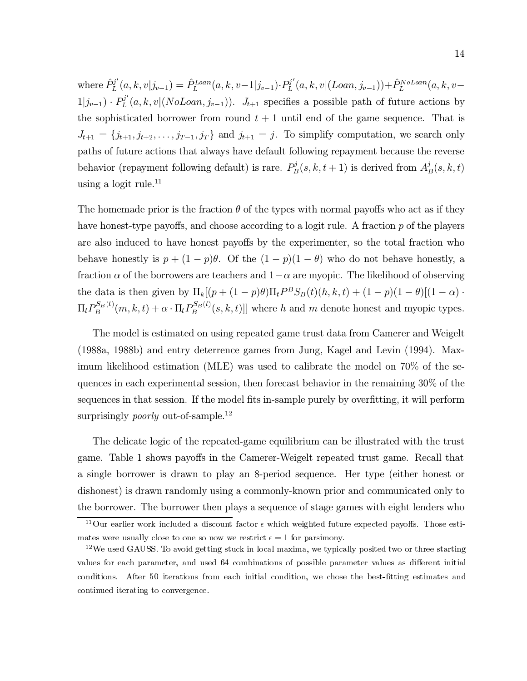where  $\hat{P}_L^{j'}(a, k, v|j_{v-1}) = \hat{P}_L^{Loan}(a, k, v-1|j_{v-1}) \cdot P_L^{j'}(a, k, v|(Loan, j_{v-1})) + \hat{P}_L^{NoLoan}(a, k, v-1|j_{v-1})$  $1|j_{v-1}\rangle \cdot P_L^{j'}(a, k, v | (No Loan, j_{v-1}))$ .  $J_{t+1}$  specifies a possible path of future actions by the sophisticated borrower from round  $t + 1$  until end of the game sequence. That is  $J_{t+1} = \{j_{t+1}, j_{t+2}, \ldots, j_{T-1}, j_T\}$  and  $j_{t+1} = j$ . To simplify computation, we search only paths of future actions that always have default following repayment because the reverse behavior (repayment following default) is rare.  $P_B^j(s, k, t + 1)$  is derived from  $A_B^j(s, k, t)$ using a logit rule. $11$ 

The homemade prior is the fraction  $\theta$  of the types with normal payoffs who act as if they have honest-type payoffs, and choose according to a logit rule. A fraction p of the players are also induced to have honest payoffs by the experimenter, so the total fraction who behave honestly is  $p + (1 - p)\theta$ . Of the  $(1 - p)(1 - \theta)$  who do not behave honestly, a fraction  $\alpha$  of the borrowers are teachers and  $1-\alpha$  are myopic. The likelihood of observing the data is then given by  $\Pi_k[(p+(1-p)\theta)\Pi_t P^B S_B(t)(h,k,t) + (1-p)(1-\theta)[(1-\alpha)]$ .  $\Pi_t P_B^{S_B(t)}(m,k,t) + \alpha \cdot \Pi_t P_B^{S_B(t)}(s,k,t)$ ] where h and m denote honest and myopic types.

The model is estimated on using repeated game trust data from Camerer and Weigelt (1988a, 1988b) and entry deterrence games from Jung, Kagel and Levin (1994). Maximum likelihood estimation (MLE) was used to calibrate the model on 70% of the sequences in each experimental session, then forecast behavior in the remaining  $30\%$  of the sequences in that session. If the model fits in-sample purely by overfitting, it will perform surprisingly *poorly* out-of-sample.<sup>12</sup>

The delicate logic of the repeated-game equilibrium can be illustrated with the trust game. Table 1 shows payoffs in the Camerer-Weigelt repeated trust game. Recall that a single borrower is drawn to play an 8-period sequence. Her type (either honest or dishonest) is drawn randomly using a commonly-known prior and communicated only to the borrower. The borrower then plays a sequence of stage games with eight lenders who

<sup>&</sup>lt;sup>11</sup>Our earlier work included a discount factor  $\epsilon$  which weighted future expected payoffs. Those estimates were usually close to one so now we restrict  $\epsilon = 1$  for parsimony.

<sup>&</sup>lt;sup>12</sup>We used GAUSS. To avoid getting stuck in local maxima, we typically posited two or three starting values for each parameter, and used 64 combinations of possible parameter values as different initial conditions. After 50 iterations from each initial condition, we chose the best-fitting estimates and continued iterating to convergence.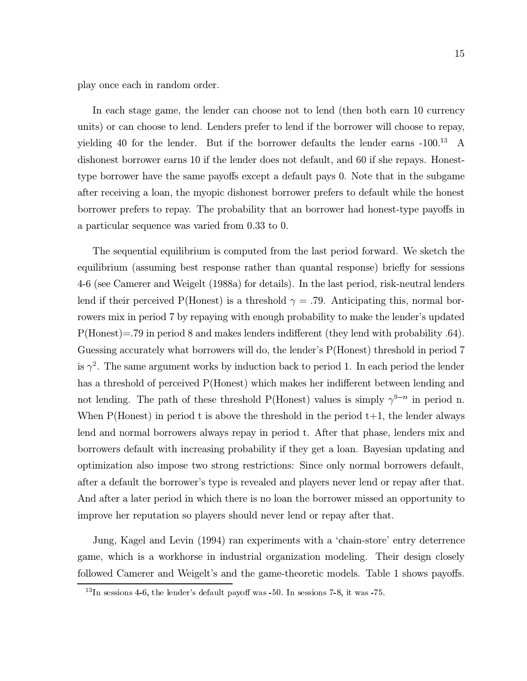play once each in random order.

In each stage game, the lender can choose not to lend (then both earn 10 currency units) or can choose to lend. Lenders prefer to lend if the borrower will choose to repay, yielding 40 for the lender. But if the borrower defaults the lender earns  $-100^{13}$  A dishonest borrower earns 10 if the lender does not default, and 60 if she repays. Honesttype borrower have the same payoffs except a default pays 0. Note that in the subgame after receiving a loan, the myopic dishonest borrower prefers to default while the honest borrower prefers to repay. The probability that an borrower had honest-type payoffs in a particular sequence was varied from 0.33 to 0.

The sequential equilibrium is computed from the last period forward. We sketch the equilibrium (assuming best response rather than quantal response) briefly for sessions 4-6 (see Camerer and Weigelt (1988a) for details). In the last period, risk-neutral lenders lend if their perceived P(Honest) is a threshold  $\gamma = .79$ . Anticipating this, normal borrowers mix in period 7 by repaying with enough probability to make the lender's updated  $P(Honest)=.79$  in period 8 and makes lenders indifferent (they lend with probability .64). Guessing accurately what borrowers will do, the lender's P(Honest) threshold in period 7 is  $\gamma^2$ . The same argument works by induction back to period 1. In each period the lender has a threshold of perceived P(Honest) which makes her indifferent between lending and not lending. The path of these threshold P(Honest) values is simply  $\gamma^{9-n}$  in period n. When  $P(Honest)$  in period t is above the threshold in the period  $t+1$ , the lender always lend and normal borrowers always repay in period t. After that phase, lenders mix and borrowers default with increasing probability if they get a loan. Bayesian updating and optimization also impose two strong restrictions: Since only normal borrowers default, after a default the borrower's type is revealed and players never lend or repay after that. And after a later period in which there is no loan the borrower missed an opportunity to improve her reputation so players should never lend or repay after that.

Jung, Kagel and Levin (1994) ran experiments with a 'chain-store' entry deterrence game, which is a workhorse in industrial organization modeling. Their design closely followed Camerer and Weigelt's and the game-theoretic models. Table 1 shows payoffs.

<sup>&</sup>lt;sup>13</sup>In sessions 4-6, the lender's default payoff was -50. In sessions 7-8, it was -75.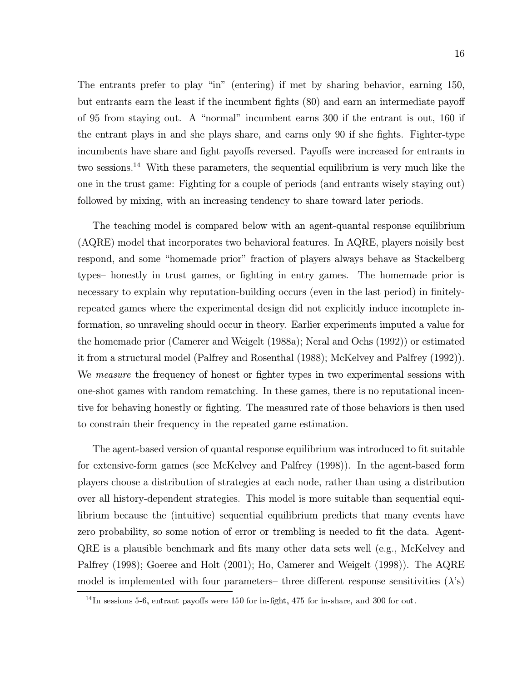The entrants prefer to play "in" (entering) if met by sharing behavior, earning 150, but entrants earn the least if the incumbent fights (80) and earn an intermediate payoff of 95 from staying out. A "normal" incumbent earns 300 if the entrant is out, 160 if the entrant plays in and she plays share, and earns only 90 if she fights. Fighter-type incumbents have share and fight payoffs reversed. Payoffs were increased for entrants in two sessions.<sup>14</sup> With these parameters, the sequential equilibrium is very much like the one in the trust game: Fighting for a couple of periods (and entrants wisely staying out) followed by mixing, with an increasing tendency to share toward later periods.

The teaching model is compared below with an agent-quantal response equilibrium (AQRE) model that incorporates two behavioral features. In AQRE, players noisily best respond, and some "homemade prior" fraction of players always behave as Stackelberg types- honestly in trust games, or fighting in entry games. The homemade prior is necessary to explain why reputation-building occurs (even in the last period) in finitelyrepeated games where the experimental design did not explicitly induce incomplete information, so unraveling should occur in theory. Earlier experiments imputed a value for the homemade prior (Camerer and Weigelt (1988a); Neral and Ochs (1992)) or estimated it from a structural model (Palfrey and Rosenthal (1988); McKelvey and Palfrey (1992)). We *measure* the frequency of honest or fighter types in two experimental sessions with one-shot games with random rematching. In these games, there is no reputational incentive for behaving honestly or fighting. The measured rate of those behaviors is then used to constrain their frequency in the repeated game estimation.

The agent-based version of quantal response equilibrium was introduced to fit suitable for extensive-form games (see McKelvey and Palfrey (1998)). In the agent-based form players choose a distribution of strategies at each node, rather than using a distribution over all history-dependent strategies. This model is more suitable than sequential equilibrium because the (intuitive) sequential equilibrium predicts that many events have zero probability, so some notion of error or trembling is needed to fit the data. Agent-QRE is a plausible benchmark and fits many other data sets well (e.g., McKelvey and Palfrey (1998); Goeree and Holt (2001); Ho, Camerer and Weigelt (1998)). The AQRE model is implemented with four parameters- three different response sensitivities  $(\lambda)$ 's)

 $14$ In sessions 5-6, entrant payoffs were 150 for in-fight, 475 for in-share, and 300 for out.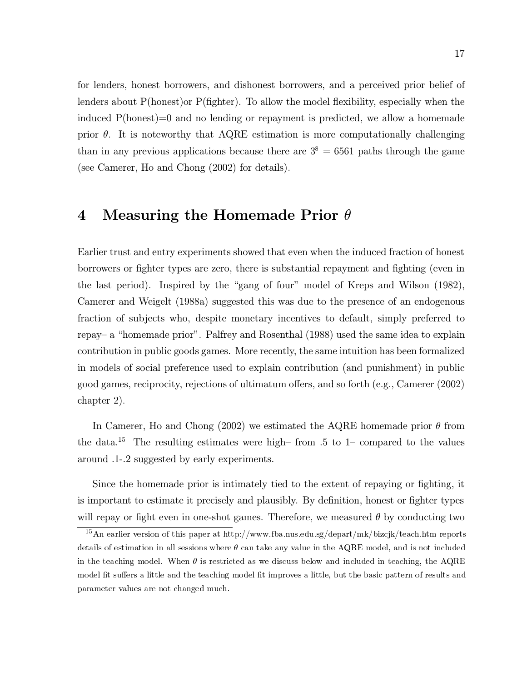for lenders, honest borrowers, and dishonest borrowers, and a perceived prior belief of lenders about  $P(\text{honest})$  or  $P(\text{fighter})$ . To allow the model flexibility, especially when the induced  $P(\text{honest})=0$  and no lending or repayment is predicted, we allow a homemade prior  $\theta$ . It is noteworthy that AQRE estimation is more computationally challenging than in any previous applications because there are  $3^8 = 6561$  paths through the game (see Camerer, Ho and Chong (2002) for details).

### Measuring the Homemade Prior  $\theta$ 4

Earlier trust and entry experiments showed that even when the induced fraction of honest borrowers or fighter types are zero, there is substantial repayment and fighting (even in the last period). Inspired by the "gang of four" model of Kreps and Wilson (1982), Camerer and Weigelt (1988a) suggested this was due to the presence of an endogenous fraction of subjects who, despite monetary incentives to default, simply preferred to repay– a "homemade prior". Palfrey and Rosenthal (1988) used the same idea to explain contribution in public goods games. More recently, the same intuition has been formalized in models of social preference used to explain contribution (and punishment) in public good games, reciprocity, rejections of ultimatum offers, and so forth (e.g., Camerer (2002) chapter  $2$ ).

In Camerer, Ho and Chong (2002) we estimated the AQRE homemade prior  $\theta$  from the data.<sup>15</sup> The resulting estimates were high-from .5 to 1- compared to the values around .1-.2 suggested by early experiments.

Since the homemade prior is intimately tied to the extent of repaying or fighting, it is important to estimate it precisely and plausibly. By definition, honest or fighter types will repay or fight even in one-shot games. Therefore, we measured  $\theta$  by conducting two

<sup>&</sup>lt;sup>15</sup> An earlier version of this paper at http://www.fba.nus.edu.sg/depart/mk/bizcjk/teach.htm reports details of estimation in all sessions where  $\theta$  can take any value in the AQRE model, and is not included in the teaching model. When  $\theta$  is restricted as we discuss below and included in teaching, the AQRE model fit suffers a little and the teaching model fit improves a little, but the basic pattern of results and parameter values are not changed much.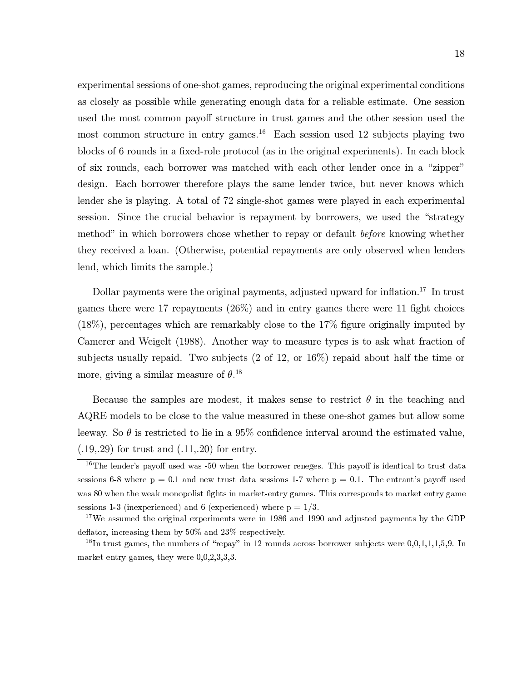experimental sessions of one-shot games, reproducing the original experimental conditions as closely as possible while generating enough data for a reliable estimate. One session used the most common payoff structure in trust games and the other session used the most common structure in entry games.<sup>16</sup> Each session used 12 subjects playing two blocks of 6 rounds in a fixed-role protocol (as in the original experiments). In each block of six rounds, each borrower was matched with each other lender once in a "zipper" design. Each borrower therefore plays the same lender twice, but never knows which lender she is playing. A total of 72 single-shot games were played in each experimental session. Since the crucial behavior is repayment by borrowers, we used the "strategy method" in which borrowers chose whether to repay or default *before* knowing whether they received a loan. (Otherwise, potential repayments are only observed when lenders lend, which limits the sample.)

Dollar payments were the original payments, adjusted upward for inflation.<sup>17</sup> In trust games there were 17 repayments  $(26\%)$  and in entry games there were 11 fight choices  $(18\%)$ , percentages which are remarkably close to the 17% figure originally imputed by Camerer and Weigelt (1988). Another way to measure types is to ask what fraction of subjects usually repaid. Two subjects  $(2 \text{ of } 12)$ , or  $16\%$  repaid about half the time or more, giving a similar measure of  $\theta$ .<sup>18</sup>

Because the samples are modest, it makes sense to restrict  $\theta$  in the teaching and AQRE models to be close to the value measured in these one-shot games but allow some leeway. So  $\theta$  is restricted to lie in a 95% confidence interval around the estimated value,  $(.19, .29)$  for trust and  $(.11, .20)$  for entry.

 $16$ The lender's payoff used was -50 when the borrower reneges. This payoff is identical to trust data sessions 6-8 where  $p = 0.1$  and new trust data sessions 1-7 where  $p = 0.1$ . The entrant's payoff used was 80 when the weak monopolist fights in market-entry games. This corresponds to market entry game sessions 1-3 (inexperienced) and 6 (experienced) where  $p = 1/3$ .

<sup>&</sup>lt;sup>17</sup>We assumed the original experiments were in 1986 and 1990 and adjusted payments by the GDP deflator, increasing them by  $50\%$  and  $23\%$  respectively.

<sup>&</sup>lt;sup>18</sup>In trust games, the numbers of "repay" in 12 rounds across borrower subjects were  $0,0,1,1,1,5,9$ . In market entry games, they were  $0,0,2,3,3,3$ .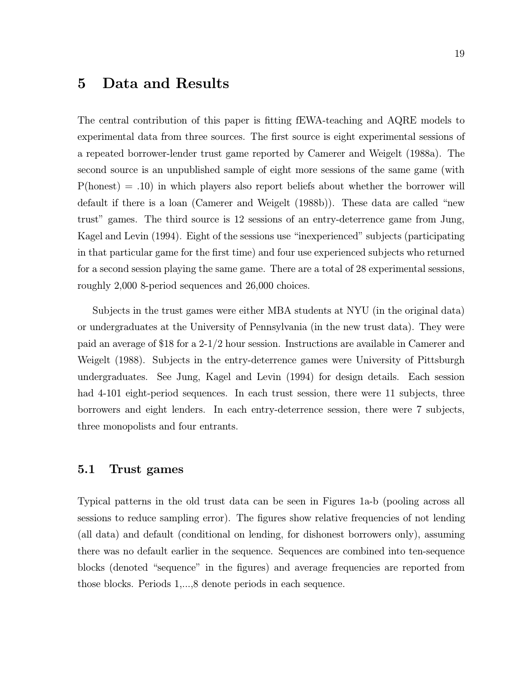### Data and Results  $\overline{5}$

The central contribution of this paper is fitting fEWA-teaching and AQRE models to experimental data from three sources. The first source is eight experimental sessions of a repeated borrower-lender trust game reported by Camerer and Weigelt (1988a). The second source is an unpublished sample of eight more sessions of the same game (with  $P(\text{honest}) = .10$  in which players also report beliefs about whether the borrower will default if there is a loan (Camerer and Weigelt (1988b)). These data are called "new trust" games. The third source is 12 sessions of an entry-deterrence game from Jung, Kagel and Levin (1994). Eight of the sessions use "inexperienced" subjects (participating in that particular game for the first time) and four use experienced subjects who returned for a second session playing the same game. There are a total of 28 experimental sessions, roughly 2,000 8-period sequences and 26,000 choices.

Subjects in the trust games were either MBA students at NYU (in the original data) or undergraduates at the University of Pennsylvania (in the new trust data). They were paid an average of \$18 for a 2-1/2 hour session. Instructions are available in Camerer and Weigelt (1988). Subjects in the entry-deterrence games were University of Pittsburgh undergraduates. See Jung, Kagel and Levin (1994) for design details. Each session had 4-101 eight-period sequences. In each trust session, there were 11 subjects, three borrowers and eight lenders. In each entry-deterrence session, there were 7 subjects, three monopolists and four entrants.

#### $5.1$ Trust games

Typical patterns in the old trust data can be seen in Figures 1a-b (pooling across all sessions to reduce sampling error). The figures show relative frequencies of not lending (all data) and default (conditional on lending, for dishonest borrowers only), assuming there was no default earlier in the sequence. Sequences are combined into ten-sequence blocks (denoted "sequence" in the figures) and average frequencies are reported from those blocks. Periods 1,...,8 denote periods in each sequence.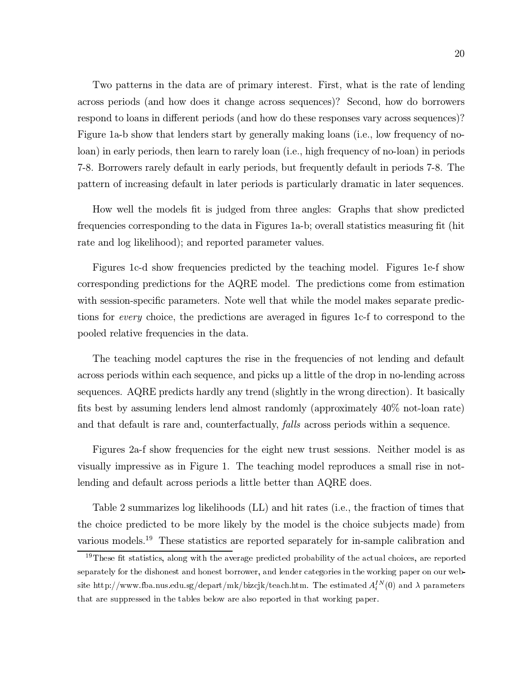Two patterns in the data are of primary interest. First, what is the rate of lending across periods (and how does it change across sequences)? Second, how do borrowers respond to loans in different periods (and how do these responses vary across sequences)? Figure 1a-b show that lenders start by generally making loans (i.e., low frequency of noloan) in early periods, then learn to rarely loan (i.e., high frequency of no-loan) in periods 7-8. Borrowers rarely default in early periods, but frequently default in periods 7-8. The pattern of increasing default in later periods is particularly dramatic in later sequences.

How well the models fit is judged from three angles: Graphs that show predicted frequencies corresponding to the data in Figures 1a-b; overall statistics measuring fit (hit rate and log likelihood); and reported parameter values.

Figures 1c-d show frequencies predicted by the teaching model. Figures 1e-f show corresponding predictions for the AQRE model. The predictions come from estimation with session-specific parameters. Note well that while the model makes separate predictions for *every* choice, the predictions are averaged in figures 1c-f to correspond to the pooled relative frequencies in the data.

The teaching model captures the rise in the frequencies of not lending and default across periods within each sequence, and picks up a little of the drop in no-lending across sequences. AQRE predicts hardly any trend (slightly in the wrong direction). It basically fits best by assuming lenders lend almost randomly (approximately  $40\%$  not-loan rate) and that default is rare and, counterfactually, *falls* across periods within a sequence.

Figures 2a-f show frequencies for the eight new trust sessions. Neither model is as visually impressive as in Figure 1. The teaching model reproduces a small rise in notlending and default across periods a little better than AQRE does.

Table 2 summarizes log likelihoods (LL) and hit rates (i.e., the fraction of times that the choice predicted to be more likely by the model is the choice subjects made) from various models.<sup>19</sup> These statistics are reported separately for in-sample calibration and

<sup>&</sup>lt;sup>19</sup>These fit statistics, along with the average predicted probability of the actual choices, are reported separately for the dishonest and honest borrower, and lender categories in the working paper on our website http://www.fba.nus.edu.sg/depart/mk/bizcjk/teach.htm. The estimated  $A_i^{IN}(0)$  and  $\lambda$  parameters that are suppressed in the tables below are also reported in that working paper.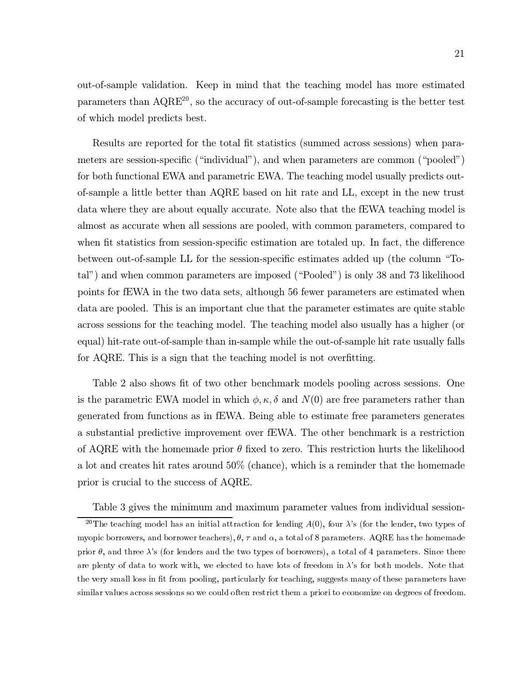out-of-sample validation. Keep in mind that the teaching model has more estimated parameters than  $AQRE^{20}$ , so the accuracy of out-of-sample forecasting is the better test of which model predicts best.

Results are reported for the total fit statistics (summed across sessions) when parameters are session-specific ("individual"), and when parameters are common ("pooled") for both functional EWA and parametric EWA. The teaching model usually predicts outof-sample a little better than AQRE based on hit rate and LL, except in the new trust data where they are about equally accurate. Note also that the fEWA teaching model is almost as accurate when all sessions are pooled, with common parameters, compared to when fit statistics from session-specific estimation are totaled up. In fact, the difference between out-of-sample LL for the session-specific estimates added up (the column "Total") and when common parameters are imposed ("Pooled") is only 38 and 73 likelihood points for fEWA in the two data sets, although 56 fewer parameters are estimated when data are pooled. This is an important clue that the parameter estimates are quite stable across sessions for the teaching model. The teaching model also usually has a higher (or equal) hit-rate out-of-sample than in-sample while the out-of-sample hit rate usually falls for AQRE. This is a sign that the teaching model is not overfitting.

Table 2 also shows fit of two other benchmark models pooling across sessions. One is the parametric EWA model in which  $\phi, \kappa, \delta$  and  $N(0)$  are free parameters rather than generated from functions as in fEWA. Being able to estimate free parameters generates a substantial predictive improvement over fEWA. The other benchmark is a restriction of AQRE with the homemade prior  $\theta$  fixed to zero. This restriction hurts the likelihood a lot and creates hit rates around 50% (chance), which is a reminder that the homemade prior is crucial to the success of AQRE.

Table 3 gives the minimum and maximum parameter values from individual session-

<sup>&</sup>lt;sup>20</sup>The teaching model has an initial attraction for lending  $A(0)$ , four  $\lambda$ 's (for the lender, two types of myopic borrowers, and borrower teachers),  $\theta$ ,  $\tau$  and  $\alpha$ , a total of 8 parameters. AQRE has the homemade prior  $\theta$ , and three  $\lambda$ 's (for lenders and the two types of borrowers), a total of 4 parameters. Since there are plenty of data to work with, we elected to have lots of freedom in  $\lambda$ 's for both models. Note that the very small loss in fit from pooling, particularly for teaching, suggests many of these parameters have similar values across sessions so we could often restrict them a priori to economize on degrees of freedom.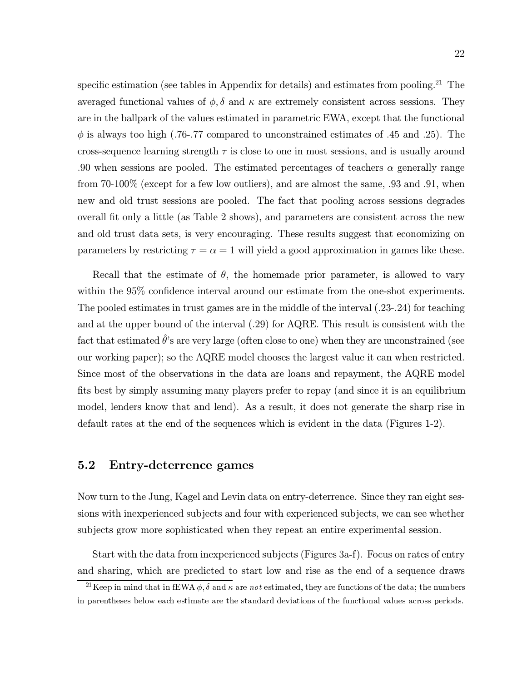specific estimation (see tables in Appendix for details) and estimates from pooling.<sup>21</sup> The averaged functional values of  $\phi$ ,  $\delta$  and  $\kappa$  are extremely consistent across sessions. They are in the ballpark of the values estimated in parametric EWA, except that the functional  $\phi$  is always too high (.76-.77 compared to unconstrained estimates of .45 and .25). The cross-sequence learning strength  $\tau$  is close to one in most sessions, and is usually around .90 when sessions are pooled. The estimated percentages of teachers  $\alpha$  generally range from  $70-100\%$  (except for a few low outliers), and are almost the same, .93 and .91, when new and old trust sessions are pooled. The fact that pooling across sessions degrades overall fit only a little (as Table 2 shows), and parameters are consistent across the new and old trust data sets, is very encouraging. These results suggest that economizing on parameters by restricting  $\tau = \alpha = 1$  will yield a good approximation in games like these.

Recall that the estimate of  $\theta$ , the homemade prior parameter, is allowed to vary within the 95% confidence interval around our estimate from the one-shot experiments. The pooled estimates in trust games are in the middle of the interval  $(.23-.24)$  for teaching and at the upper bound of the interval  $(.29)$  for AQRE. This result is consistent with the fact that estimated  $\hat{\theta}$ 's are very large (often close to one) when they are unconstrained (see our working paper); so the AQRE model chooses the largest value it can when restricted. Since most of the observations in the data are loans and repayment, the AQRE model fits best by simply assuming many players prefer to repay (and since it is an equilibrium model, lenders know that and lend). As a result, it does not generate the sharp rise in default rates at the end of the sequences which is evident in the data (Figures 1-2).

#### Entry-deterrence games  $5.2\,$

Now turn to the Jung, Kagel and Levin data on entry-deterrence. Since they ran eight sessions with inexperienced subjects and four with experienced subjects, we can see whether subjects grow more sophisticated when they repeat an entire experimental session.

Start with the data from inexperienced subjects (Figures 3a-f). Focus on rates of entry and sharing, which are predicted to start low and rise as the end of a sequence draws

<sup>&</sup>lt;sup>21</sup>Keep in mind that in fEWA  $\phi$ ,  $\delta$  and  $\kappa$  are not estimated, they are functions of the data; the numbers in parentheses below each estimate are the standard deviations of the functional values across periods.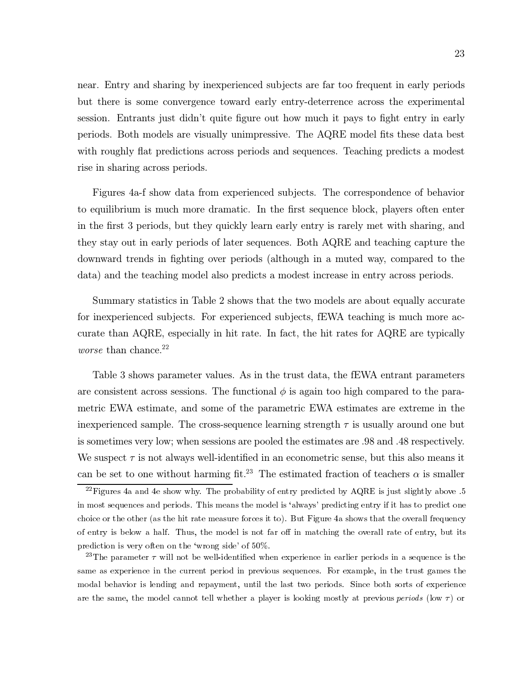near. Entry and sharing by inexperienced subjects are far too frequent in early periods but there is some convergence toward early entry-deterrence across the experimental session. Entrants just didn't quite figure out how much it pays to fight entry in early periods. Both models are visually unimpressive. The AQRE model fits these data best with roughly flat predictions across periods and sequences. Teaching predicts a modest rise in sharing across periods.

Figures 4a-f show data from experienced subjects. The correspondence of behavior to equilibrium is much more dramatic. In the first sequence block, players often enter in the first 3 periods, but they quickly learn early entry is rarely met with sharing, and they stay out in early periods of later sequences. Both AQRE and teaching capture the downward trends in fighting over periods (although in a muted way, compared to the data) and the teaching model also predicts a modest increase in entry across periods.

Summary statistics in Table 2 shows that the two models are about equally accurate for inexperienced subjects. For experienced subjects, fEWA teaching is much more accurate than AQRE, especially in hit rate. In fact, the hit rates for AQRE are typically *worse* than chance.<sup>22</sup>

Table 3 shows parameter values. As in the trust data, the fEWA entrant parameters are consistent across sessions. The functional  $\phi$  is again too high compared to the parametric EWA estimate, and some of the parametric EWA estimates are extreme in the inexperienced sample. The cross-sequence learning strength  $\tau$  is usually around one but is sometimes very low; when sessions are pooled the estimates are 0.98 and 0.48 respectively. We suspect  $\tau$  is not always well-identified in an econometric sense, but this also means it can be set to one without harming fit.<sup>23</sup> The estimated fraction of teachers  $\alpha$  is smaller

 $^{22}$ Figures 4a and 4e show why. The probability of entry predicted by AQRE is just slightly above .5 in most sequences and periods. This means the model is 'always' predicting entry if it has to predict one choice or the other (as the hit rate measure forces it to). But Figure 4a shows that the overall frequency of entry is below a half. Thus, the model is not far off in matching the overall rate of entry, but its prediction is very often on the 'wrong side' of  $50\%$ .

<sup>&</sup>lt;sup>23</sup>The parameter  $\tau$  will not be well-identified when experience in earlier periods in a sequence is the same as experience in the current period in previous sequences. For example, in the trust games the modal behavior is lending and repayment, until the last two periods. Since both sorts of experience are the same, the model cannot tell whether a player is looking mostly at previous *periods* (low  $\tau$ ) or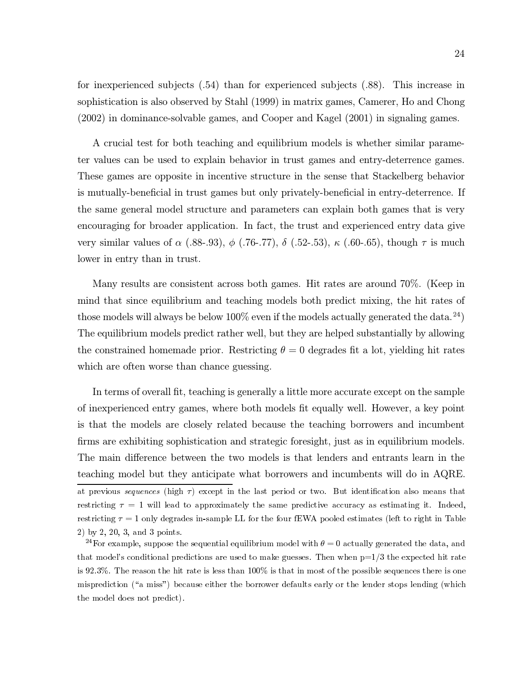for inexperienced subjects (.54) than for experienced subjects (.88). This increase in sophistication is also observed by Stahl (1999) in matrix games, Camerer, Ho and Chong  $(2002)$  in dominance-solvable games, and Cooper and Kagel  $(2001)$  in signaling games.

A crucial test for both teaching and equilibrium models is whether similar parameter values can be used to explain behavior in trust games and entry-deterrence games. These games are opposite in incentive structure in the sense that Stackelberg behavior is mutually-beneficial in trust games but only privately-beneficial in entry-deterrence. If the same general model structure and parameters can explain both games that is very encouraging for broader application. In fact, the trust and experienced entry data give very similar values of  $\alpha$  (.88-.93),  $\phi$  (.76-.77),  $\delta$  (.52-.53),  $\kappa$  (.60-.65), though  $\tau$  is much lower in entry than in trust.

Many results are consistent across both games. Hit rates are around 70%. (Keep in mind that since equilibrium and teaching models both predict mixing, the hit rates of those models will always be below  $100\%$  even if the models actually generated the data.<sup>24</sup>) The equilibrium models predict rather well, but they are helped substantially by allowing the constrained homemade prior. Restricting  $\theta = 0$  degrades fit a lot, yielding hit rates which are often worse than chance guessing.

In terms of overall fit, teaching is generally a little more accurate except on the sample of inexperienced entry games, where both models fit equally well. However, a key point is that the models are closely related because the teaching borrowers and incumbent firms are exhibiting sophistication and strategic foresight, just as in equilibrium models. The main difference between the two models is that lenders and entrants learn in the teaching model but they anticipate what borrowers and incumbents will do in AQRE. at previous sequences (high  $\tau$ ) except in the last period or two. But identification also means that restricting  $\tau = 1$  will lead to approximately the same predictive accuracy as estimating it. Indeed, restricting  $\tau = 1$  only degrades in-sample LL for the four fEWA pooled estimates (left to right in Table 2) by 2, 20, 3, and 3 points.

<sup>24</sup>For example, suppose the sequential equilibrium model with  $\theta = 0$  actually generated the data, and that model's conditional predictions are used to make guesses. Then when  $p=1/3$  the expected hit rate is 92.3%. The reason the hit rate is less than  $100\%$  is that in most of the possible sequences there is one misprediction ("a miss") because either the borrower defaults early or the lender stops lending (which the model does not predict).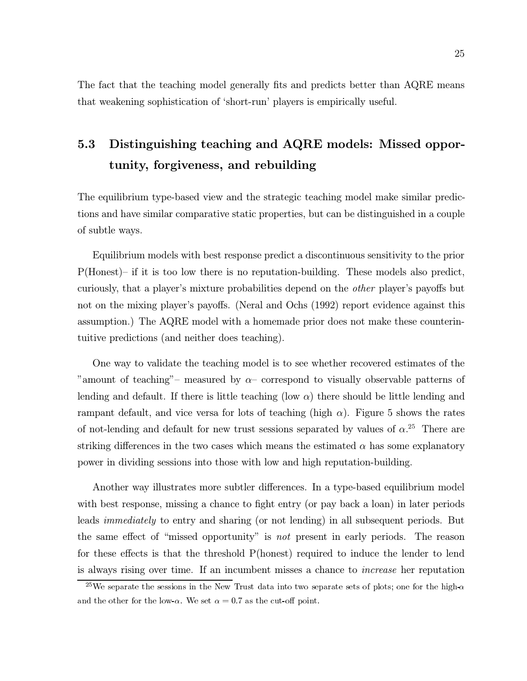The fact that the teaching model generally fits and predicts better than AQRE means that weakening sophistication of 'short-run' players is empirically useful.

### $5.3$ Distinguishing teaching and AQRE models: Missed opportunity, forgiveness, and rebuilding

The equilibrium type-based view and the strategic teaching model make similar predictions and have similar comparative static properties, but can be distinguished in a couple of subtle ways.

Equilibrium models with best response predict a discontinuous sensitivity to the prior  $P(Honest)$ - if it is too low there is no reputation-building. These models also predict, curiously, that a player's mixture probabilities depend on the *other* player's payoffs but not on the mixing player's payoffs. (Neral and Ochs (1992) report evidence against this assumption.) The AQRE model with a homemade prior does not make these counterintuitive predictions (and neither does teaching).

One way to validate the teaching model is to see whether recovered estimates of the "amount of teaching"- measured by  $\alpha$ - correspond to visually observable patterns of lending and default. If there is little teaching (low  $\alpha$ ) there should be little lending and rampant default, and vice versa for lots of teaching (high  $\alpha$ ). Figure 5 shows the rates of not-lending and default for new trust sessions separated by values of  $\alpha$ <sup>25</sup>. There are striking differences in the two cases which means the estimated  $\alpha$  has some explanatory power in dividing sessions into those with low and high reputation-building.

Another way illustrates more subtler differences. In a type-based equilibrium model with best response, missing a chance to fight entry (or pay back a loan) in later periods leads *immediately* to entry and sharing (or not lending) in all subsequent periods. But the same effect of "missed opportunity" is not present in early periods. The reason for these effects is that the threshold P(honest) required to induce the lender to lend is always rising over time. If an incumbent misses a chance to *increase* her reputation

<sup>&</sup>lt;sup>25</sup>We separate the sessions in the New Trust data into two separate sets of plots; one for the high- $\alpha$ and the other for the low- $\alpha$ . We set  $\alpha = 0.7$  as the cut-off point.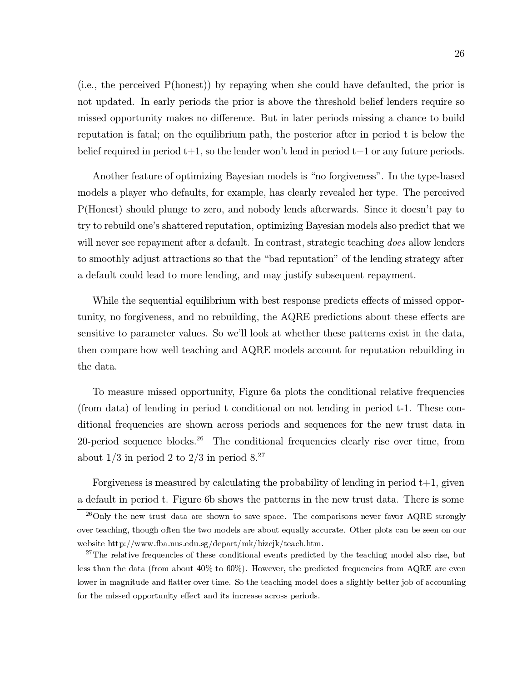(i.e., the perceived  $P(\text{honest})$ ) by repaying when she could have defaulted, the prior is not updated. In early periods the prior is above the threshold belief lenders require so missed opportunity makes no difference. But in later periods missing a chance to build reputation is fatal; on the equilibrium path, the posterior after in period t is below the belief required in period  $t+1$ , so the lender won't lend in period  $t+1$  or any future periods.

Another feature of optimizing Bayesian models is "no forgiveness". In the type-based models a player who defaults, for example, has clearly revealed her type. The perceived P(Honest) should plunge to zero, and nobody lends afterwards. Since it doesn't pay to try to rebuild one's shattered reputation, optimizing Bayesian models also predict that we will never see repayment after a default. In contrast, strategic teaching *does* allow lenders to smoothly adjust attractions so that the "bad reputation" of the lending strategy after a default could lead to more lending, and may justify subsequent repayment.

While the sequential equilibrium with best response predicts effects of missed opportunity, no forgiveness, and no rebuilding, the AQRE predictions about these effects are sensitive to parameter values. So we'll look at whether these patterns exist in the data, then compare how well teaching and AQRE models account for reputation rebuilding in the data.

To measure missed opportunity, Figure 6a plots the conditional relative frequencies (from data) of lending in period t conditional on not lending in period t-1. These conditional frequencies are shown across periods and sequences for the new trust data in 20-period sequence blocks.<sup>26</sup> The conditional frequencies clearly rise over time, from about  $1/3$  in period 2 to  $2/3$  in period  $8.^{27}$ 

Forgiveness is measured by calculating the probability of lending in period  $t+1$ , given a default in period t. Figure 6b shows the patterns in the new trust data. There is some

 $^{26}$ Only the new trust data are shown to save space. The comparisons never favor AQRE strongly over teaching, though often the two models are about equally accurate. Other plots can be seen on our website http://www.fba.nus.edu.sg/depart/mk/bizcjk/teach.htm.

 $27$ The relative frequencies of these conditional events predicted by the teaching model also rise, but less than the data (from about  $40\%$  to  $60\%$ ). However, the predicted frequencies from AQRE are even lower in magnitude and flatter over time. So the teaching model does a slightly better job of accounting for the missed opportunity effect and its increase across periods.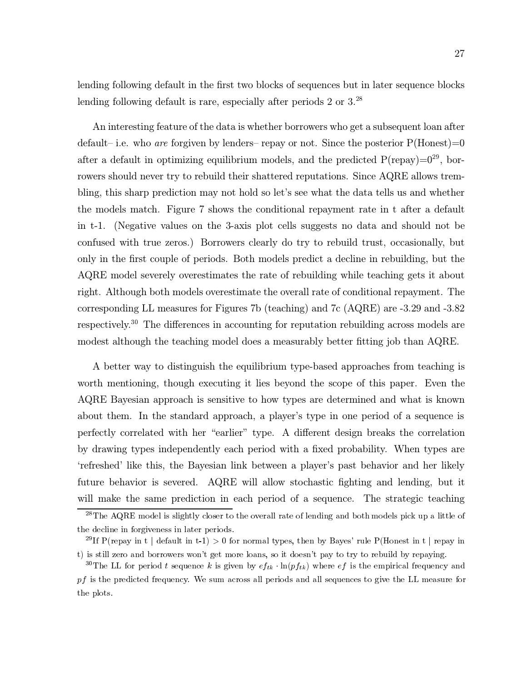lending following default in the first two blocks of sequences but in later sequence blocks lending following default is rare, especially after periods  $2 \text{ or } 3.^{28}$ 

An interesting feature of the data is whether borrowers who get a subsequent loan after default– i.e. who are forgiven by lenders– repay or not. Since the posterior  $P(\text{Honest})=0$ after a default in optimizing equilibrium models, and the predicted  $P$ (repay)= $0^{29}$ , borrowers should never try to rebuild their shattered reputations. Since AQRE allows trembling, this sharp prediction may not hold so let's see what the data tells us and whether the models match. Figure 7 shows the conditional repayment rate in t after a default in t-1. (Negative values on the 3-axis plot cells suggests no data and should not be confused with true zeros.) Borrowers clearly do try to rebuild trust, occasionally, but only in the first couple of periods. Both models predict a decline in rebuilding, but the AQRE model severely overestimates the rate of rebuilding while teaching gets it about right. Although both models overestimate the overall rate of conditional repayment. The corresponding LL measures for Figures 7b (teaching) and 7c (AQRE) are  $-3.29$  and  $-3.82$ respectively.<sup>30</sup> The differences in accounting for reputation rebuilding across models are modest although the teaching model does a measurably better fitting job than AQRE.

A better way to distinguish the equilibrium type-based approaches from teaching is worth mentioning, though executing it lies beyond the scope of this paper. Even the AQRE Bayesian approach is sensitive to how types are determined and what is known about them. In the standard approach, a player's type in one period of a sequence is perfectly correlated with her "earlier" type. A different design breaks the correlation by drawing types independently each period with a fixed probability. When types are 'refreshed' like this, the Bayesian link between a player's past behavior and her likely future behavior is severed. AQRE will allow stochastic fighting and lending, but it will make the same prediction in each period of a sequence. The strategic teaching

 $\sqrt{2^8 \text{The AQRE model}}$  is slightly closer to the overall rate of lending and both models pick up a little of the decline in forgiveness in later periods.

<sup>&</sup>lt;sup>29</sup>If P(repay in t | default in t-1) > 0 for normal types, then by Bayes' rule P(Honest in t | repay in t) is still zero and borrowers won't get more loans, so it doesn't pay to try to rebuild by repaying.

<sup>&</sup>lt;sup>30</sup>The LL for period t sequence k is given by  $ef_{tk} \cdot \ln(pf_{tk})$  where  $ef$  is the empirical frequency and  $pf$  is the predicted frequency. We sum across all periods and all sequences to give the LL measure for the plots.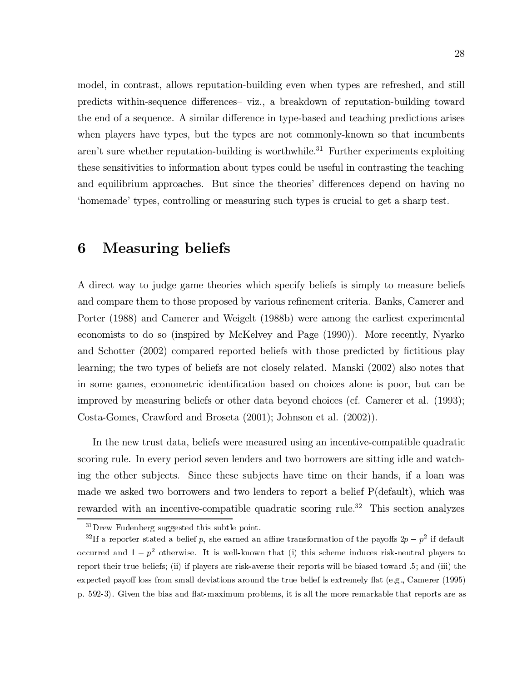model, in contrast, allows reputation-building even when types are refreshed, and still predicts within-sequence differences- viz., a breakdown of reputation-building toward the end of a sequence. A similar difference in type-based and teaching predictions arises when players have types, but the types are not commonly-known so that incumbents aren't sure whether reputation-building is worthwhile.<sup>31</sup> Further experiments exploiting these sensitivities to information about types could be useful in contrasting the teaching and equilibrium approaches. But since the theories' differences depend on having no 'homemade' types, controlling or measuring such types is crucial to get a sharp test.

### **Measuring beliefs** 6

A direct way to judge game theories which specify beliefs is simply to measure beliefs and compare them to those proposed by various refinement criteria. Banks, Camerer and Porter (1988) and Camerer and Weigelt (1988b) were among the earliest experimental economists to do so (inspired by McKelvey and Page (1990)). More recently, Nyarko and Schotter (2002) compared reported beliefs with those predicted by fictitious play learning; the two types of beliefs are not closely related. Manski (2002) also notes that in some games, econometric identification based on choices alone is poor, but can be improved by measuring beliefs or other data beyond choices (cf. Camerer et al. (1993); Costa-Gomes, Crawford and Broseta (2001); Johnson et al. (2002)).

In the new trust data, beliefs were measured using an incentive-compatible quadratic scoring rule. In every period seven lenders and two borrowers are sitting idle and watching the other subjects. Since these subjects have time on their hands, if a loan was made we asked two borrowers and two lenders to report a belief P(default), which was rewarded with an incentive-compatible quadratic scoring rule.<sup>32</sup> This section analyzes

 $31$ Drew Fudenberg suggested this subtle point.

<sup>&</sup>lt;sup>32</sup>If a reporter stated a belief p, she earned an affine transformation of the payoffs  $2p - p^2$  if default occurred and  $1-p^2$  otherwise. It is well-known that (i) this scheme induces risk-neutral players to report their true beliefs; (ii) if players are risk-averse their reports will be biased toward .5; and (iii) the expected payoff loss from small deviations around the true belief is extremely flat (e.g., Camerer (1995) p. 592-3). Given the bias and flat-maximum problems, it is all the more remarkable that reports are as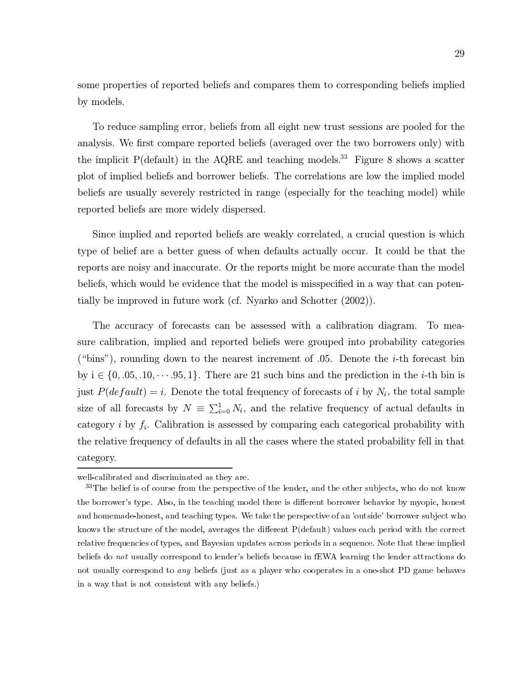some properties of reported beliefs and compares them to corresponding beliefs implied by models.

To reduce sampling error, beliefs from all eight new trust sessions are pooled for the analysis. We first compare reported beliefs (averaged over the two borrowers only) with the implicit  $P$ (default) in the AQRE and teaching models.<sup>33</sup> Figure 8 shows a scatter plot of implied beliefs and borrower beliefs. The correlations are low the implied model beliefs are usually severely restricted in range (especially for the teaching model) while reported beliefs are more widely dispersed.

Since implied and reported beliefs are weakly correlated, a crucial question is which type of belief are a better guess of when defaults actually occur. It could be that the reports are noisy and inaccurate. Or the reports might be more accurate than the model beliefs, which would be evidence that the model is misspecified in a way that can potentially be improved in future work (cf. Nyarko and Schotter (2002)).

The accuracy of forecasts can be assessed with a calibration diagram. To measure calibration, implied and reported beliefs were grouped into probability categories ("bins"), rounding down to the nearest increment of 0.05. Denote the *i*-th forecast bin by  $i \in \{0, 0.05, 0.10, \dots, 95, 1\}$ . There are 21 such bins and the prediction in the *i*-th bin is just  $P(default) = i$ . Denote the total frequency of forecasts of i by  $N_i$ , the total sample size of all forecasts by  $N \equiv \sum_{i=0}^{1} N_i$ , and the relative frequency of actual defaults in category *i* by  $f_i$ . Calibration is assessed by comparing each categorical probability with the relative frequency of defaults in all the cases where the stated probability fell in that category.

well-calibrated and discriminated as they are.

<sup>&</sup>lt;sup>33</sup>The belief is of course from the perspective of the lender, and the other subjects, who do not know the borrower's type. Also, in the teaching model there is different borrower behavior by myopic, honest and homemade-honest, and teaching types. We take the perspective of an 'outside' borrower subject who knows the structure of the model, averages the different P(default) values each period with the correct relative frequencies of types, and Bayesian updates across periods in a sequence. Note that these implied beliefs do not usually correspond to lender's beliefs because in fEWA learning the lender attractions do not usually correspond to any beliefs (just as a player who cooperates in a one-shot PD game behaves in a way that is not consistent with any beliefs.)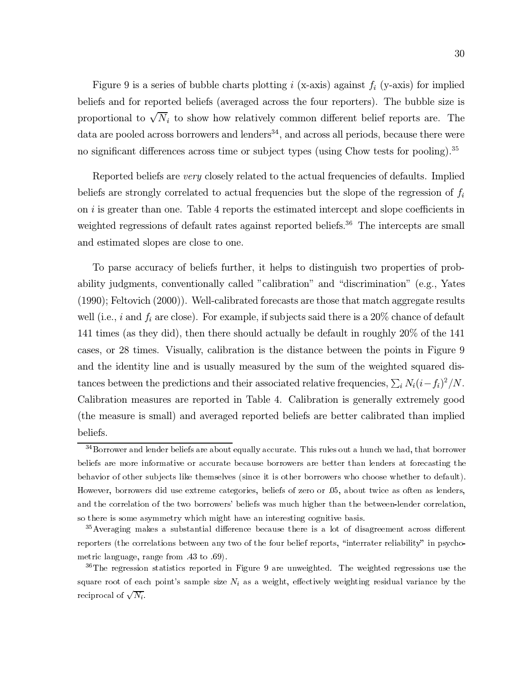Figure 9 is a series of bubble charts plotting i (x-axis) against  $f_i$  (y-axis) for implied beliefs and for reported beliefs (averaged across the four reporters). The bubble size is proportional to  $\sqrt{N_i}$  to show how relatively common different belief reports are. The data are pooled across borrowers and lenders<sup>34</sup>, and across all periods, because there were no significant differences across time or subject types (using Chow tests for pooling).<sup>35</sup>

Reported beliefs are very closely related to the actual frequencies of defaults. Implied beliefs are strongly correlated to actual frequencies but the slope of the regression of  $f_i$ on  $i$  is greater than one. Table 4 reports the estimated intercept and slope coefficients in weighted regressions of default rates against reported beliefs.<sup>36</sup> The intercepts are small and estimated slopes are close to one.

To parse accuracy of beliefs further, it helps to distinguish two properties of probability judgments, conventionally called "calibration" and "discrimination" (e.g., Yates  $(1990)$ ; Feltovich  $(2000)$ ). Well-calibrated forecasts are those that match aggregate results well (i.e., i and  $f_i$  are close). For example, if subjects said there is a 20% chance of default 141 times (as they did), then there should actually be default in roughly 20% of the 141 cases, or 28 times. Visually, calibration is the distance between the points in Figure 9 and the identity line and is usually measured by the sum of the weighted squared distances between the predictions and their associated relative frequencies,  $\sum_i N_i (i - f_i)^2 / N$ . Calibration measures are reported in Table 4. Calibration is generally extremely good (the measure is small) and averaged reported beliefs are better calibrated than implied beliefs.

<sup>&</sup>lt;sup>34</sup>Borrower and lender beliefs are about equally accurate. This rules out a hunch we had, that borrower beliefs are more informative or accurate because borrowers are better than lenders at forecasting the behavior of other subjects like themselves (since it is other borrowers who choose whether to default). However, borrowers did use extreme categories, beliefs of zero or 05, about twice as often as lenders, and the correlation of the two borrowers' beliefs was much higher than the between-lender correlation, so there is some asymmetry which might have an interesting cognitive basis.

 $35$  Averaging makes a substantial difference because there is a lot of disagreement across different reporters (the correlations between any two of the four belief reports, "interrater reliability" in psychometric language, range from .43 to .69).

 $36$ The regression statistics reported in Figure 9 are unweighted. The weighted regressions use the square root of each point's sample size  $N_i$  as a weight, effectively weighting residual variance by the reciprocal of  $\sqrt{N_i}$ .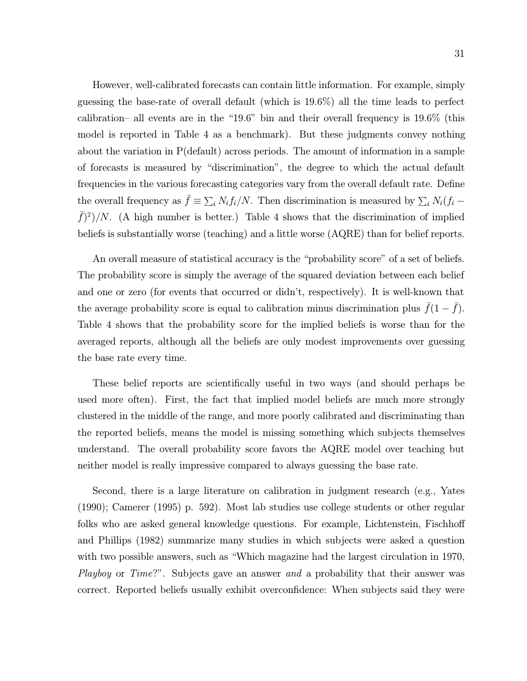However, well-calibrated forecasts can contain little information. For example, simply guessing the base-rate of overall default (which is  $19.6\%$ ) all the time leads to perfect calibration– all events are in the "19.6" bin and their overall frequency is  $19.6\%$  (this model is reported in Table 4 as a benchmark). But these judgments convey nothing about the variation in  $P$ (default) across periods. The amount of information in a sample of forecasts is measured by "discrimination", the degree to which the actual default frequencies in the various forecasting categories vary from the overall default rate. Define the overall frequency as  $\bar{f} \equiv \sum_i N_i f_i / N$ . Then discrimination is measured by  $\sum_i N_i (f_i (\bar{f})^2$ /N. (A high number is better.) Table 4 shows that the discrimination of implied beliefs is substantially worse (teaching) and a little worse (AQRE) than for belief reports.

An overall measure of statistical accuracy is the "probability score" of a set of beliefs. The probability score is simply the average of the squared deviation between each belief and one or zero (for events that occurred or didn't, respectively). It is well-known that the average probability score is equal to calibration minus discrimination plus  $\bar{f}(1-\bar{f})$ . Table 4 shows that the probability score for the implied beliefs is worse than for the averaged reports, although all the beliefs are only modest improvements over guessing the base rate every time.

These belief reports are scientifically useful in two ways (and should perhaps be used more often). First, the fact that implied model beliefs are much more strongly clustered in the middle of the range, and more poorly calibrated and discriminating than the reported beliefs, means the model is missing something which subjects themselves understand. The overall probability score favors the AQRE model over teaching but neither model is really impressive compared to always guessing the base rate.

Second, there is a large literature on calibration in judgment research (e.g., Yates  $(1990)$ ; Camerer (1995) p. 592). Most lab studies use college students or other regular folks who are asked general knowledge questions. For example, Lichtenstein, Fischhoff and Phillips (1982) summarize many studies in which subjects were asked a question with two possible answers, such as "Which magazine had the largest circulation in 1970, *Playboy* or *Time*?". Subjects gave an answer *and* a probability that their answer was correct. Reported beliefs usually exhibit overconfidence: When subjects said they were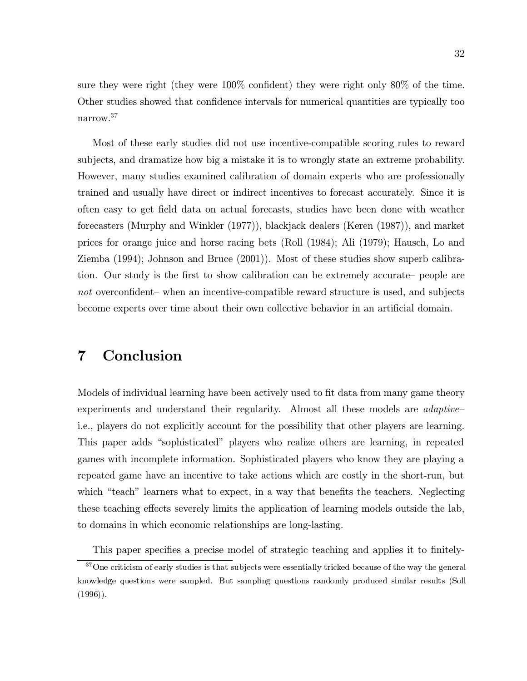sure they were right (they were  $100\%$  confident) they were right only 80% of the time. Other studies showed that confidence intervals for numerical quantities are typically too narrow. $37$ 

Most of these early studies did not use incentive-compatible scoring rules to reward subjects, and dramatize how big a mistake it is to wrongly state an extreme probability. However, many studies examined calibration of domain experts who are professionally trained and usually have direct or indirect incentives to forecast accurately. Since it is often easy to get field data on actual forecasts, studies have been done with weather forecasters (Murphy and Winkler (1977)), blackjack dealers (Keren (1987)), and market prices for orange juice and horse racing bets (Roll (1984); Ali (1979); Hausch, Lo and Ziemba (1994); Johnson and Bruce (2001)). Most of these studies show superb calibration. Our study is the first to show calibration can be extremely accurate - people are not overconfident- when an incentive-compatible reward structure is used, and subjects become experts over time about their own collective behavior in an artificial domain.

### Conclusion 7

Models of individual learning have been actively used to fit data from many game theory experiments and understand their regularity. Almost all these models are *adaptive* i.e., players do not explicitly account for the possibility that other players are learning. This paper adds "sophisticated" players who realize others are learning, in repeated games with incomplete information. Sophisticated players who know they are playing a repeated game have an incentive to take actions which are costly in the short-run, but which "teach" learners what to expect, in a way that benefits the teachers. Neglecting these teaching effects severely limits the application of learning models outside the lab, to domains in which economic relationships are long-lasting.

This paper specifies a precise model of strategic teaching and applies it to finitely-

 $37$  One criticism of early studies is that subjects were essentially tricked because of the way the general knowledge questions were sampled. But sampling questions randomly produced similar results (Soll  $(1996)$ ).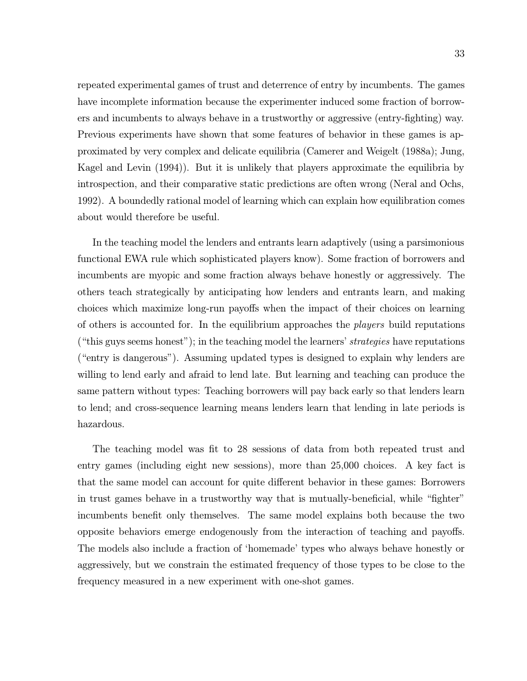repeated experimental games of trust and deterrence of entry by incumbents. The games have incomplete information because the experimenter induced some fraction of borrowers and incumbents to always behave in a trustworthy or aggressive (entry-fighting) way. Previous experiments have shown that some features of behavior in these games is approximated by very complex and delicate equilibria (Camerer and Weigelt (1988a); Jung, Kagel and Levin (1994)). But it is unlikely that players approximate the equilibria by introspection, and their comparative static predictions are often wrong (Neral and Ochs, 1992). A boundedly rational model of learning which can explain how equilibration comes about would therefore be useful.

In the teaching model the lenders and entrants learn adaptively (using a parsimonious functional EWA rule which sophisticated players know). Some fraction of borrowers and incumbents are myopic and some fraction always behave honestly or aggressively. The others teach strategically by anticipating how lenders and entrants learn, and making choices which maximize long-run payoffs when the impact of their choices on learning of others is accounted for. In the equilibrium approaches the *players* build reputations ("this guys seems honest"); in the teaching model the learners' strategies have reputations ("entry is dangerous"). Assuming updated types is designed to explain why lenders are willing to lend early and afraid to lend late. But learning and teaching can produce the same pattern without types: Teaching borrowers will pay back early so that lenders learn to lend; and cross-sequence learning means lenders learn that lending in late periods is hazardous.

The teaching model was fit to 28 sessions of data from both repeated trust and entry games (including eight new sessions), more than 25,000 choices. A key fact is that the same model can account for quite different behavior in these games: Borrowers in trust games behave in a trustworthy way that is mutually-beneficial, while "fighter" incumbents benefit only themselves. The same model explains both because the two opposite behaviors emerge endogenously from the interaction of teaching and payoffs. The models also include a fraction of 'homemade' types who always behave honestly or aggressively, but we constrain the estimated frequency of those types to be close to the frequency measured in a new experiment with one-shot games.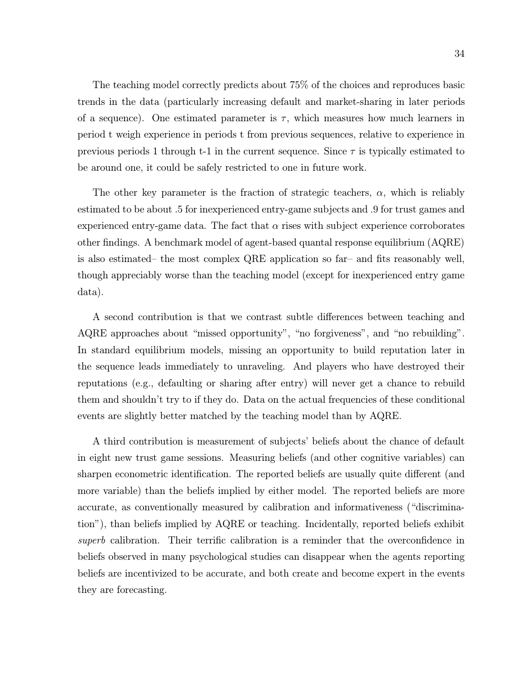The teaching model correctly predicts about 75% of the choices and reproduces basic trends in the data (particularly increasing default and market-sharing in later periods of a sequence). One estimated parameter is  $\tau$ , which measures how much learners in period t weigh experience in periods t from previous sequences, relative to experience in previous periods 1 through t-1 in the current sequence. Since  $\tau$  is typically estimated to be around one, it could be safely restricted to one in future work.

The other key parameter is the fraction of strategic teachers,  $\alpha$ , which is reliably estimated to be about .5 for inexperienced entry-game subjects and .9 for trust games and experienced entry-game data. The fact that  $\alpha$  rises with subject experience corroborates other findings. A benchmark model of agent-based quantal response equilibrium (AQRE) is also estimated– the most complex QRE application so far– and fits reasonably well, though appreciably worse than the teaching model (except for inexperienced entry game data).

A second contribution is that we contrast subtle differences between teaching and AQRE approaches about "missed opportunity", "no forgiveness", and "no rebuilding". In standard equilibrium models, missing an opportunity to build reputation later in the sequence leads immediately to unraveling. And players who have destroyed their reputations (e.g., defaulting or sharing after entry) will never get a chance to rebuild them and shouldn't try to if they do. Data on the actual frequencies of these conditional events are slightly better matched by the teaching model than by AQRE.

A third contribution is measurement of subjects' beliefs about the chance of default in eight new trust game sessions. Measuring beliefs (and other cognitive variables) can sharpen econometric identification. The reported beliefs are usually quite different (and more variable) than the beliefs implied by either model. The reported beliefs are more accurate, as conventionally measured by calibration and informativeness ("discrimination"), than beliefs implied by AQRE or teaching. Incidentally, reported beliefs exhibit *superb* calibration. Their terrific calibration is a reminder that the overconfidence in beliefs observed in many psychological studies can disappear when the agents reporting beliefs are incentivized to be accurate, and both create and become expert in the events they are forecasting.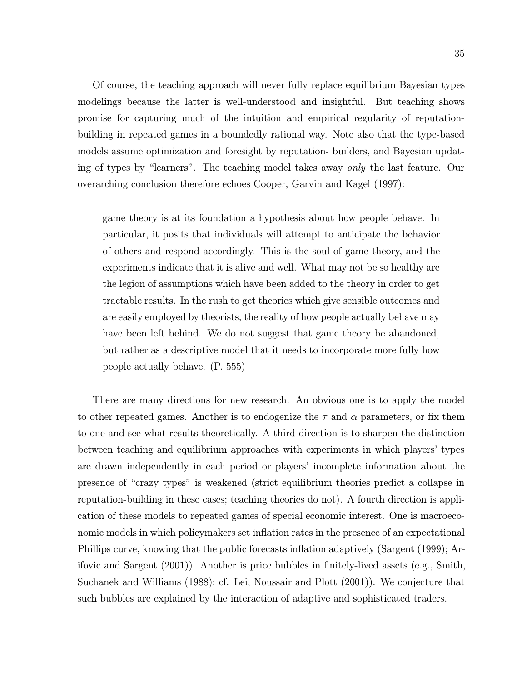Of course, the teaching approach will never fully replace equilibrium Bayesian types modelings because the latter is well-understood and insightful. But teaching shows promise for capturing much of the intuition and empirical regularity of reputationbuilding in repeated games in a boundedly rational way. Note also that the type-based models assume optimization and foresight by reputation- builders, and Bayesian updating of types by "learners". The teaching model takes away only the last feature. Our overarching conclusion therefore echoes Cooper, Garvin and Kagel (1997):

game theory is at its foundation a hypothesis about how people behave. In particular, it posits that individuals will attempt to anticipate the behavior of others and respond accordingly. This is the soul of game theory, and the experiments indicate that it is alive and well. What may not be so healthy are the legion of assumptions which have been added to the theory in order to get tractable results. In the rush to get theories which give sensible outcomes and are easily employed by theorists, the reality of how people actually behave may have been left behind. We do not suggest that game theory be abandoned, but rather as a descriptive model that it needs to incorporate more fully how people actually behave. (P. 555)

There are many directions for new research. An obvious one is to apply the model to other repeated games. Another is to endogenize the  $\tau$  and  $\alpha$  parameters, or fix them to one and see what results theoretically. A third direction is to sharpen the distinction between teaching and equilibrium approaches with experiments in which players' types are drawn independently in each period or players' incomplete information about the presence of "crazy types" is weakened (strict equilibrium theories predict a collapse in reputation-building in these cases; teaching theories do not). A fourth direction is application of these models to repeated games of special economic interest. One is macroeconomic models in which policymakers set inflation rates in the presence of an expectational Phillips curve, knowing that the public forecasts inflation adaptively (Sargent (1999); Arifovic and Sargent (2001). Another is price bubbles in finitely-lived assets (e.g., Smith, Suchanek and Williams (1988); cf. Lei, Noussair and Plott (2001)). We conjecture that such bubbles are explained by the interaction of adaptive and sophisticated traders.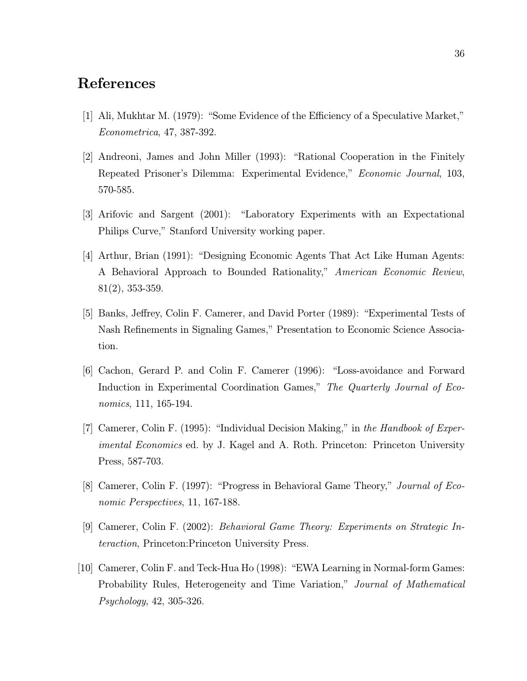# References

- [1] Ali, Mukhtar M. (1979): "Some Evidence of the Efficiency of a Speculative Market," *Econometrica*, 47, 387-392.
- [2] Andreoni, James and John Miller (1993): "Rational Cooperation in the Finitely Repeated Prisoner's Dilemma: Experimental Evidence," Economic Journal, 103, 570-585.
- [3] Arifovic and Sargent (2001): "Laboratory Experiments with an Expectational Philips Curve," Stanford University working paper.
- [4] Arthur, Brian (1991): "Designing Economic Agents That Act Like Human Agents: A Behavioral Approach to Bounded Rationality," American Economic Review,  $81(2), 353-359.$
- [5] Banks, Jeffrey, Colin F. Camerer, and David Porter (1989): "Experimental Tests of Nash Refinements in Signaling Games," Presentation to Economic Science Association.
- [6] Cachon, Gerard P. and Colin F. Camerer (1996): "Loss-avoidance and Forward Induction in Experimental Coordination Games," The Quarterly Journal of Eco*nomics*, 111, 165-194.
- [7] Camerer, Colin F. (1995): "Individual Decision Making," in the Handbook of Exper*imental Economics* ed. by J. Kagel and A. Roth. Princeton: Princeton University Press, 587-703.
- [8] Camerer, Colin F. (1997): "Progress in Behavioral Game Theory," Journal of Economic Perspectives, 11, 167-188.
- [9] Camerer, Colin F. (2002): Behavioral Game Theory: Experiments on Strategic Interaction, Princeton: Princeton University Press.
- [10] Camerer, Colin F. and Teck-Hua Ho (1998): "EWA Learning in Normal-form Games: Probability Rules, Heterogeneity and Time Variation," Journal of Mathematical  $Psychology, 42, 305-326.$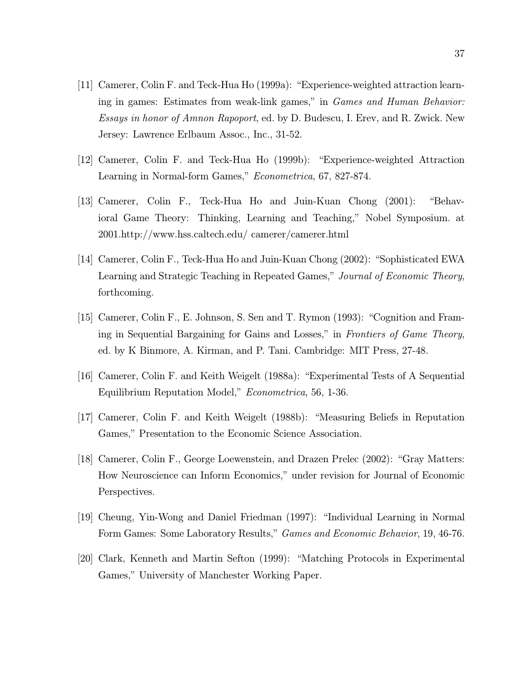- [11] Camerer, Colin F. and Teck-Hua Ho (1999a): "Experience-weighted attraction learning in games: Estimates from weak-link games," in *Games and Human Behavior*: *Essays in honor of Amnon Rapoport*, ed. by D. Budescu, I. Erev, and R. Zwick. New Jersey: Lawrence Erlbaum Assoc., Inc., 31-52.
- [12] Camerer, Colin F. and Teck-Hua Ho (1999b): "Experience-weighted Attraction" Learning in Normal-form Games," Econometrica, 67, 827-874.
- [13] Camerer, Colin F., Teck-Hua Ho and Juin-Kuan Chong (2001): "Behavioral Game Theory: Thinking, Learning and Teaching," Nobel Symposium. at 2001.http://www.hss.caltech.edu/camerer/camerer.html
- [14] Camerer, Colin F., Teck-Hua Ho and Juin-Kuan Chong (2002): "Sophisticated EWA Learning and Strategic Teaching in Repeated Games," Journal of Economic Theory, forthcoming.
- [15] Camerer, Colin F., E. Johnson, S. Sen and T. Rymon (1993): "Cognition and Framing in Sequential Bargaining for Gains and Losses," in Frontiers of Game Theory, ed. by K Binmore, A. Kirman, and P. Tani. Cambridge: MIT Press, 27-48.
- [16] Camerer, Colin F. and Keith Weigelt (1988a): "Experimental Tests of A Sequential Equilibrium Reputation Model," *Econometrica*, 56, 1-36.
- [17] Camerer, Colin F. and Keith Weigelt (1988b): "Measuring Beliefs in Reputation Games," Presentation to the Economic Science Association.
- [18] Camerer, Colin F., George Loewenstein, and Drazen Prelec (2002): "Gray Matters: How Neuroscience can Inform Economics," under revision for Journal of Economic Perspectives.
- [19] Cheung, Yin-Wong and Daniel Friedman (1997): "Individual Learning in Normal Form Games: Some Laboratory Results," *Games and Economic Behavior*, 19, 46-76.
- [20] Clark, Kenneth and Martin Sefton (1999): "Matching Protocols in Experimental Games," University of Manchester Working Paper.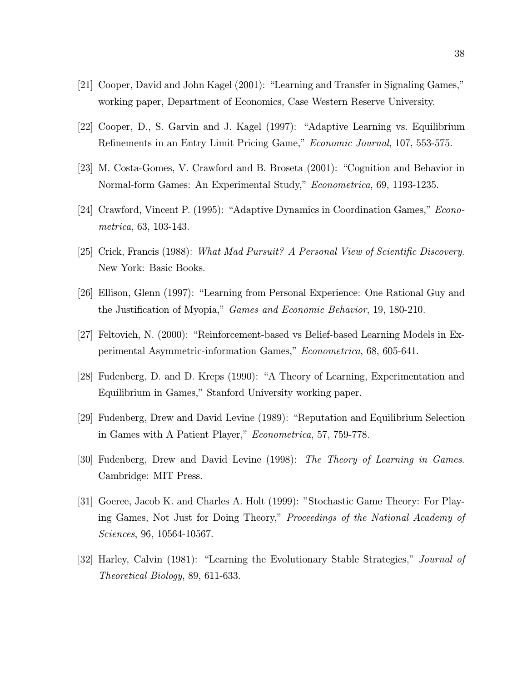- [21] Cooper, David and John Kagel (2001): "Learning and Transfer in Signaling Games," working paper, Department of Economics, Case Western Reserve University.
- [22] Cooper, D., S. Garvin and J. Kagel (1997): "Adaptive Learning vs. Equilibrium Refinements in an Entry Limit Pricing Game," *Economic Journal*, 107, 553-575.
- [23] M. Costa-Gomes, V. Crawford and B. Broseta (2001): "Cognition and Behavior in Normal-form Games: An Experimental Study," *Econometrica*, 69, 1193-1235.
- [24] Crawford, Vincent P. (1995): "Adaptive Dynamics in Coordination Games," *Econo*metrica, 63, 103-143.
- [25] Crick, Francis (1988): What Mad Pursuit? A Personal View of Scientific Discovery. New York: Basic Books.
- [26] Ellison, Glenn (1997): "Learning from Personal Experience: One Rational Guy and the Justification of Myopia," *Games and Economic Behavior*, 19, 180-210.
- [27] Feltovich, N. (2000): "Reinforcement-based vs Belief-based Learning Models in Experimental Asymmetric-information Games," *Econometrica*, 68, 605-641.
- [28] Fudenberg, D. and D. Kreps (1990): "A Theory of Learning, Experimentation and Equilibrium in Games," Stanford University working paper.
- [29] Fudenberg, Drew and David Levine (1989): "Reputation and Equilibrium Selection in Games with A Patient Player," Econometrica, 57, 759-778.
- [30] Fudenberg, Drew and David Levine (1998): The Theory of Learning in Games. Cambridge: MIT Press.
- [31] Goeree, Jacob K. and Charles A. Holt (1999): "Stochastic Game Theory: For Playing Games, Not Just for Doing Theory," Proceedings of the National Academy of Sciences, 96, 10564-10567.
- [32] Harley, Calvin (1981): "Learning the Evolutionary Stable Strategies," Journal of *Theoretical Biology*, 89, 611-633.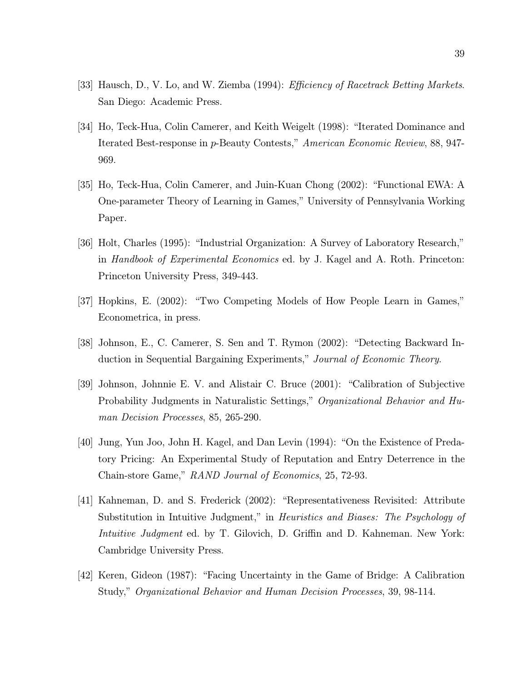- [33] Hausch, D., V. Lo, and W. Ziemba (1994): *Efficiency of Racetrack Betting Markets*. San Diego: Academic Press.
- [34] Ho, Teck-Hua, Colin Camerer, and Keith Weigelt (1998): "Iterated Dominance and Iterated Best-response in p-Beauty Contests," American Economic Review, 88, 947-969.
- [35] Ho, Teck-Hua, Colin Camerer, and Juin-Kuan Chong (2002): "Functional EWA: A One-parameter Theory of Learning in Games," University of Pennsylvania Working Paper.
- [36] Holt, Charles (1995): "Industrial Organization: A Survey of Laboratory Research," in Handbook of Experimental Economics ed. by J. Kagel and A. Roth. Princeton: Princeton University Press, 349-443.
- [37] Hopkins, E. (2002): "Two Competing Models of How People Learn in Games," Econometrica, in press.
- [38] Johnson, E., C. Camerer, S. Sen and T. Rymon (2002): "Detecting Backward Induction in Sequential Bargaining Experiments," Journal of Economic Theory.
- [39] Johnson, Johnnie E. V. and Alistair C. Bruce (2001): "Calibration of Subjective Probability Judgments in Naturalistic Settings," Organizational Behavior and Human Decision Processes, 85, 265-290.
- [40] Jung, Yun Joo, John H. Kagel, and Dan Levin (1994): "On the Existence of Predatory Pricing: An Experimental Study of Reputation and Entry Deterrence in the Chain-store Game," RAND Journal of Economics, 25, 72-93.
- [41] Kahneman, D. and S. Frederick (2002): "Representativeness Revisited: Attribute Substitution in Intuitive Judgment," in Heuristics and Biases: The Psychology of *Intuitive Judgment* ed. by T. Gilovich, D. Griffin and D. Kahneman. New York: Cambridge University Press.
- [42] Keren, Gideon (1987): "Facing Uncertainty in the Game of Bridge: A Calibration Study," Organizational Behavior and Human Decision Processes, 39, 98-114.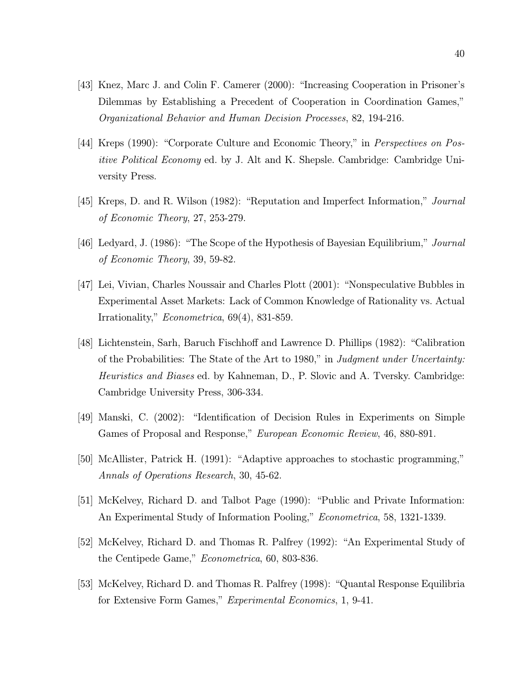- [43] Knez, Marc J. and Colin F. Camerer (2000): "Increasing Cooperation in Prisoner's Dilemmas by Establishing a Precedent of Cooperation in Coordination Games," Organizational Behavior and Human Decision Processes, 82, 194-216.
- [44] Kreps (1990): "Corporate Culture and Economic Theory," in Perspectives on Pos*itive Political Economy* ed. by J. Alt and K. Shepsle. Cambridge: Cambridge University Press.
- [45] Kreps, D. and R. Wilson (1982): "Reputation and Imperfect Information," Journal of Economic Theory, 27, 253-279.
- [46] Ledyard, J. (1986): "The Scope of the Hypothesis of Bayesian Equilibrium," Journal of Economic Theory, 39, 59-82.
- [47] Lei, Vivian, Charles Noussair and Charles Plott (2001): "Nonspeculative Bubbles in Experimental Asset Markets: Lack of Common Knowledge of Rationality vs. Actual Irrationality," Econometrica, 69(4), 831-859.
- [48] Lichtenstein, Sarh, Baruch Fischhoff and Lawrence D. Phillips (1982): "Calibration of the Probabilities: The State of the Art to 1980," in Judgment under Uncertainty: *Heuristics and Biases* ed. by Kahneman, D., P. Slovic and A. Tversky. Cambridge: Cambridge University Press, 306-334.
- [49] Manski, C. (2002): "Identification of Decision Rules in Experiments on Simple Games of Proposal and Response," *European Economic Review*, 46, 880-891.
- [50] McAllister, Patrick H. (1991): "Adaptive approaches to stochastic programming," Annals of Operations Research, 30, 45-62.
- [51] McKelvey, Richard D. and Talbot Page (1990): "Public and Private Information: An Experimental Study of Information Pooling," *Econometrica*, 58, 1321-1339.
- [52] McKelvey, Richard D. and Thomas R. Palfrey (1992): "An Experimental Study of the Centipede Game," *Econometrica*, 60, 803-836.
- [53] McKelvey, Richard D. and Thomas R. Palfrey (1998): "Quantal Response Equilibria for Extensive Form Games," Experimental Economics, 1, 9-41.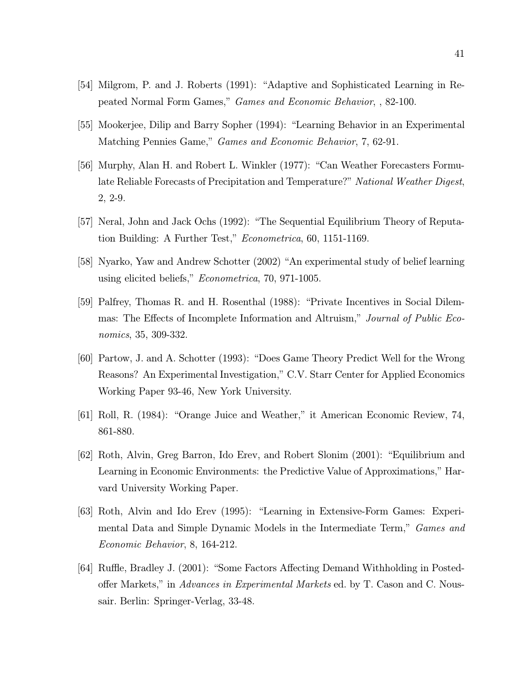- [54] Milgrom, P. and J. Roberts (1991): "Adaptive and Sophisticated Learning in Repeated Normal Form Games," *Games and Economic Behavior*, , 82-100.
- [55] Mookerjee, Dilip and Barry Sopher (1994): "Learning Behavior in an Experimental Matching Pennies Game," Games and Economic Behavior, 7, 62-91.
- [56] Murphy, Alan H. and Robert L. Winkler (1977): "Can Weather Forecasters Formulate Reliable Forecasts of Precipitation and Temperature?" National Weather Digest,  $2, 2-9.$
- [57] Neral, John and Jack Ochs (1992): "The Sequential Equilibrium Theory of Reputation Building: A Further Test," *Econometrica*, 60, 1151-1169.
- [58] Nyarko, Yaw and Andrew Schotter (2002) "An experimental study of belief learning using elicited beliefs," *Econometrica*, 70, 971-1005.
- [59] Palfrey, Thomas R. and H. Rosenthal (1988): "Private Incentives in Social Dilemmas: The Effects of Incomplete Information and Altruism," Journal of Public Economics, 35, 309-332.
- [60] Partow, J. and A. Schotter (1993): "Does Game Theory Predict Well for the Wrong Reasons? An Experimental Investigation," C.V. Starr Center for Applied Economics Working Paper 93-46, New York University.
- [61] Roll, R. (1984): "Orange Juice and Weather," it American Economic Review, 74, 861-880.
- [62] Roth, Alvin, Greg Barron, Ido Erev, and Robert Slonim (2001): "Equilibrium and Learning in Economic Environments: the Predictive Value of Approximations," Harvard University Working Paper.
- [63] Roth, Alvin and Ido Erev (1995): "Learning in Extensive-Form Games: Experimental Data and Simple Dynamic Models in the Intermediate Term," Games and Economic Behavior, 8, 164-212.
- [64] Ruffle, Bradley J. (2001): "Some Factors Affecting Demand Withholding in Postedoffer Markets," in Advances in Experimental Markets ed. by T. Cason and C. Noussair. Berlin: Springer-Verlag, 33-48.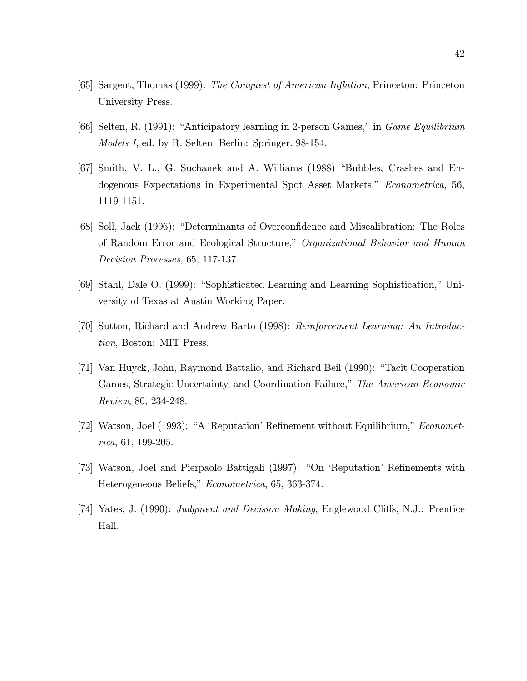- [65] Sargent, Thomas (1999): The Conquest of American Inflation, Princeton: Princeton University Press.
- [66] Selten, R. (1991): "Anticipatory learning in 2-person Games," in *Game Equilibrium Models I*, ed. by R. Selten. Berlin: Springer. 98-154.
- [67] Smith, V. L., G. Suchanek and A. Williams (1988) "Bubbles, Crashes and Endogenous Expectations in Experimental Spot Asset Markets," *Econometrica*, 56, 1119-1151.
- [68] Soll, Jack (1996): "Determinants of Overconfidence and Miscalibration: The Roles of Random Error and Ecological Structure," Organizational Behavior and Human *Decision Processes*, 65, 117-137.
- [69] Stahl, Dale O. (1999): "Sophisticated Learning and Learning Sophistication," University of Texas at Austin Working Paper.
- [70] Sutton, Richard and Andrew Barto (1998): Reinforcement Learning: An Introduc*tion*, Boston: MIT Press.
- [71] Van Huyck, John, Raymond Battalio, and Richard Beil (1990): "Tacit Cooperation Games, Strategic Uncertainty, and Coordination Failure," The American Economic *Review*, 80, 234-248.
- [72] Watson, Joel (1993): "A 'Reputation' Refinement without Equilibrium," *Econometrica*, 61, 199-205.
- [73] Watson, Joel and Pierpaolo Battigali (1997): "On 'Reputation' Refinements with Heterogeneous Beliefs," Econometrica, 65, 363-374.
- [74] Yates, J. (1990): Judgment and Decision Making, Englewood Cliffs, N.J.: Prentice Hall.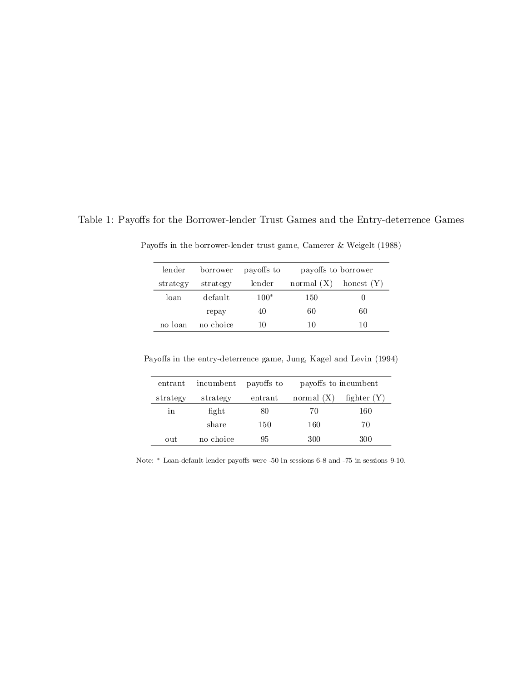Table 1: Payoffs for the Borrower-lender Trust Games and the Entry-deterrence Games

| lender   | borrower  | payoffs to | payoffs to borrower |              |
|----------|-----------|------------|---------------------|--------------|
| strategy | strategy  | lender     | normal $(X)$        | honest $(Y)$ |
| loan     | default   | $-100*$    | 150                 |              |
|          | repay     | 40         | 60                  | 60           |
| no loan  | no choice | 10         | 10                  | 10           |

Payoffs in the borrower-lender trust game, Camerer & Weigelt (1988)

Payoffs in the entry-deterrence game, Jung, Kagel and Levin (1994)

| entrant  | incumbent | payoffs to | payoffs to incumbent |               |
|----------|-----------|------------|----------------------|---------------|
| strategy | strategy  | entrant    | normal $(X)$         | fighter $(Y)$ |
| in       | fight     | 80         | 70                   | 160           |
|          | share     | 150        | 160                  | 70            |
| out      | no choice | 95         | 300                  | 300           |

Note:  $*$  Loan-default lender payoffs were -50 in sessions 6-8 and -75 in sessions 9-10.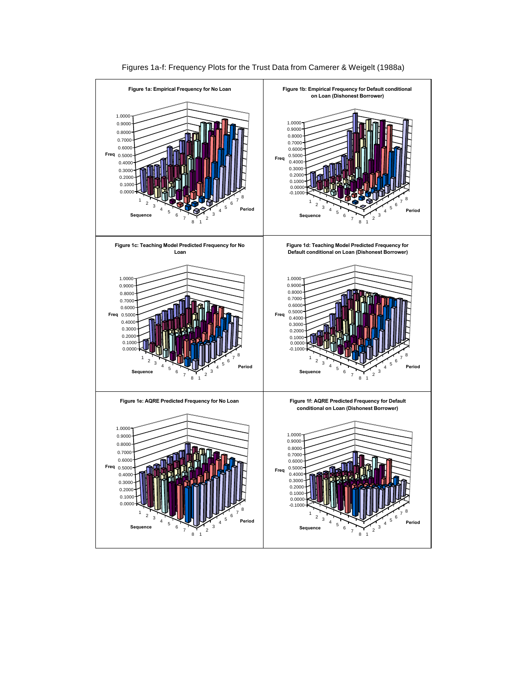

Figures 1a-f: Frequency Plots for the Trust Data from Camerer & Weigelt (1988a)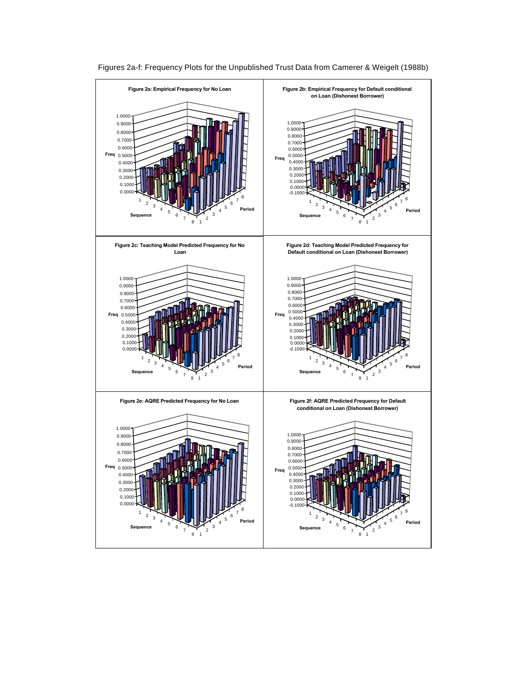

Figures 2a-f: Frequency Plots for the Unpublished Trust Data from Camerer & Weigelt (1988b)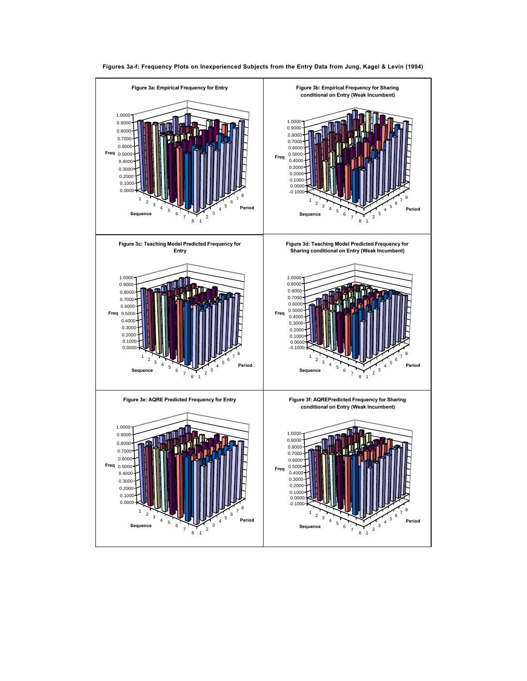

**Figures 3a-f: Frequency Plots on Inexperienced Subjects from the Entry Data from Jung, Kagel & Levin (1994)**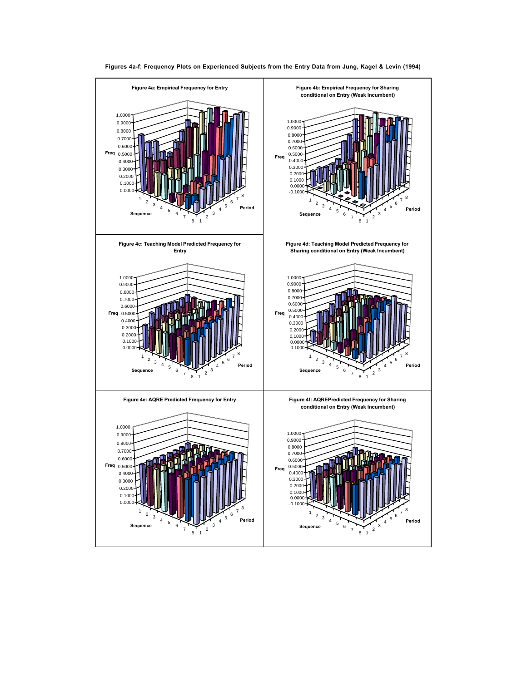

**Figures 4a-f: Frequency Plots on Experienced Subjects from the Entry Data from Jung, Kagel & Levin (1994)**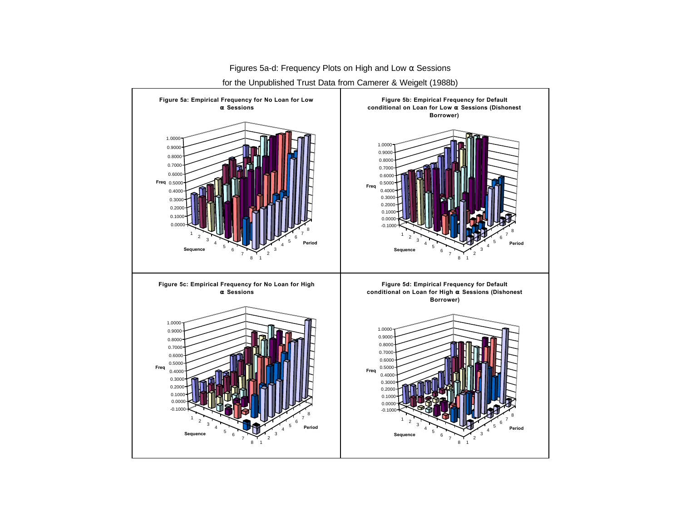

Figures 5a-d: Frequency Plots on High and Low α Sessions for the Unpublished Trust Data from Camerer & Weigelt (1988b)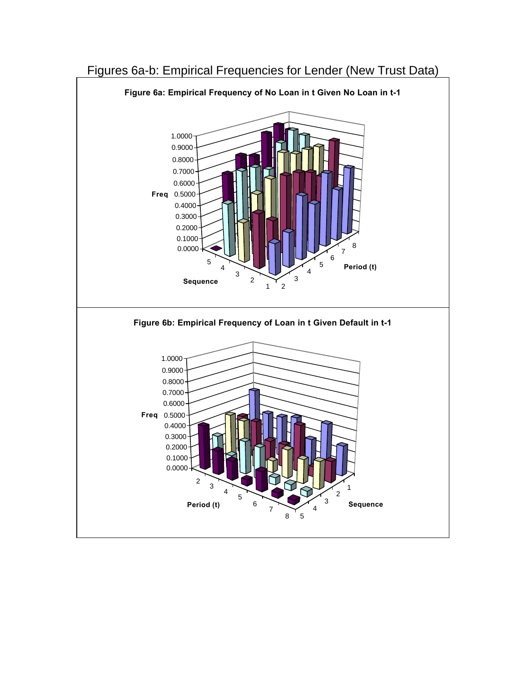

## Figures 6a-b: Empirical Frequencies for Lender (New Trust Data)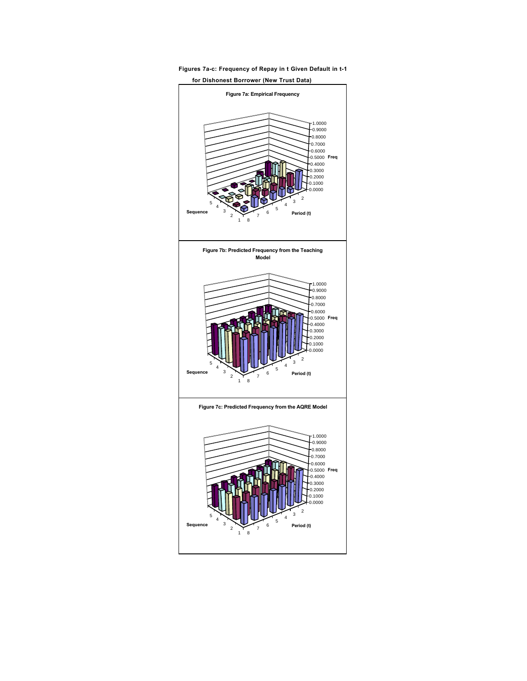

**Figures 7a-c: Frequency of Repay in t Given Default in t-1**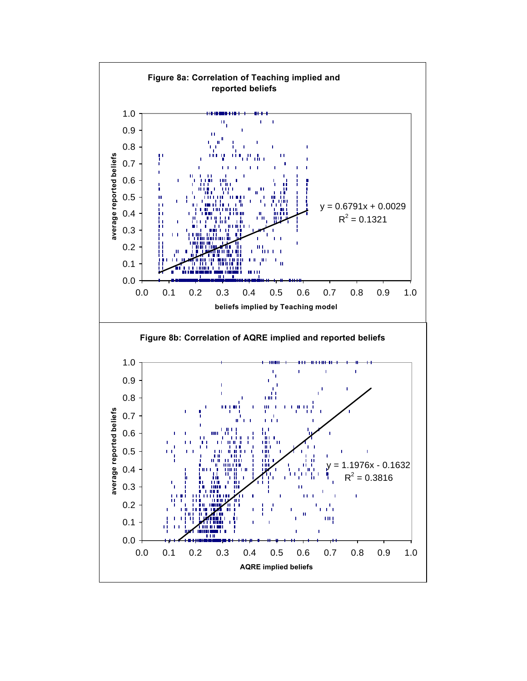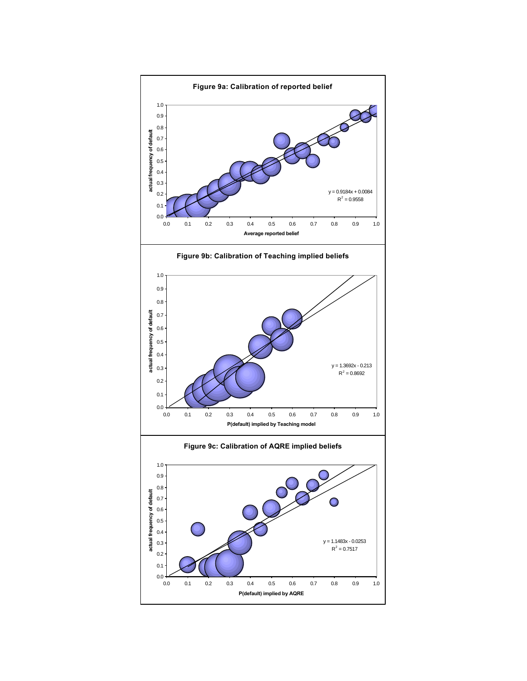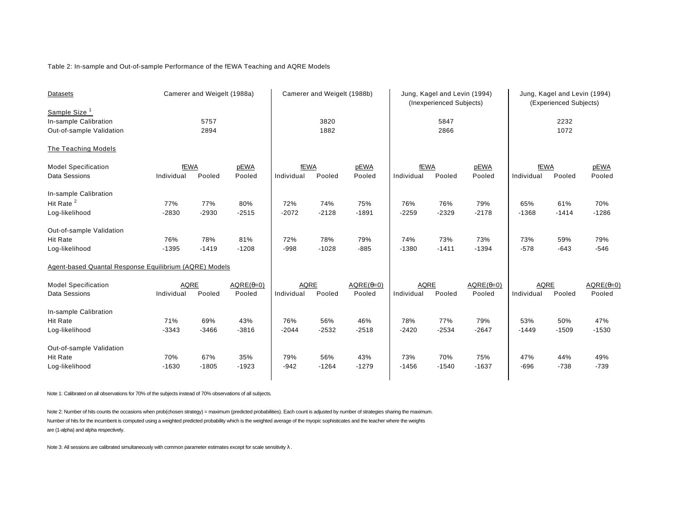### Table 2: In-sample and Out-of-sample Performance of the fEWA Teaching and AQRE Models

| Datasets                                               | Camerer and Weigelt (1988a) |         |                  | Camerer and Weigelt (1988b) |              | Jung, Kagel and Levin (1994)<br>(Inexperienced Subjects) |             |         | Jung, Kagel and Levin (1994)<br>(Experienced Subjects) |             |         |                  |
|--------------------------------------------------------|-----------------------------|---------|------------------|-----------------------------|--------------|----------------------------------------------------------|-------------|---------|--------------------------------------------------------|-------------|---------|------------------|
| Sample Size <sup>1</sup>                               |                             | 5757    |                  |                             |              |                                                          |             | 5847    |                                                        |             | 2232    |                  |
| In-sample Calibration                                  |                             | 2894    |                  |                             | 3820<br>1882 |                                                          |             | 2866    |                                                        |             | 1072    |                  |
| Out-of-sample Validation                               |                             |         |                  |                             |              |                                                          |             |         |                                                        |             |         |                  |
| The Teaching Models                                    |                             |         |                  |                             |              |                                                          |             |         |                                                        |             |         |                  |
| <b>Model Specification</b>                             | fEWA                        |         | pEWA             | fEWA                        |              | pEWA                                                     | <b>fEWA</b> |         | pEWA                                                   | fEWA        |         | pEWA             |
| Data Sessions                                          | Individual                  | Pooled  | Pooled           | Individual                  | Pooled       | Pooled                                                   | Individual  | Pooled  | Pooled                                                 | Individual  | Pooled  | Pooled           |
| In-sample Calibration                                  |                             |         |                  |                             |              |                                                          |             |         |                                                        |             |         |                  |
| Hit Rate <sup>2</sup>                                  |                             |         |                  |                             |              |                                                          |             |         |                                                        |             |         |                  |
|                                                        | 77%                         | 77%     | 80%              | 72%                         | 74%          | 75%                                                      | 76%         | 76%     | 79%                                                    | 65%         | 61%     | 70%              |
| Log-likelihood                                         | $-2830$                     | $-2930$ | $-2515$          | $-2072$                     | $-2128$      | $-1891$                                                  | $-2259$     | $-2329$ | $-2178$                                                | $-1368$     | $-1414$ | $-1286$          |
| Out-of-sample Validation                               |                             |         |                  |                             |              |                                                          |             |         |                                                        |             |         |                  |
| <b>Hit Rate</b>                                        | 76%                         | 78%     | 81%              | 72%                         | 78%          | 79%                                                      | 74%         | 73%     | 73%                                                    | 73%         | 59%     | 79%              |
| Log-likelihood                                         | $-1395$                     | $-1419$ | $-1208$          | $-998$                      | $-1028$      | $-885$                                                   | $-1380$     | $-1411$ | $-1394$                                                | $-578$      | $-643$  | $-546$           |
| Agent-based Quantal Response Equilibrium (AQRE) Models |                             |         |                  |                             |              |                                                          |             |         |                                                        |             |         |                  |
| <b>Model Specification</b>                             | <b>AQRE</b>                 |         | $AQRE(\theta=0)$ | <b>AQRE</b>                 |              | $AQRE(\theta=0)$                                         | <b>AQRE</b> |         | $AQRE(\theta=0)$                                       | <b>AQRE</b> |         | $AQRE(\theta=0)$ |
| Data Sessions                                          | Individual                  | Pooled  | Pooled           | Individual                  | Pooled       | Pooled                                                   | Individual  | Pooled  | Pooled                                                 | Individual  | Pooled  | Pooled           |
| In-sample Calibration                                  |                             |         |                  |                             |              |                                                          |             |         |                                                        |             |         |                  |
| <b>Hit Rate</b>                                        | 71%                         | 69%     | 43%              | 76%                         | 56%          | 46%                                                      | 78%         | 77%     | 79%                                                    | 53%         | 50%     | 47%              |
| Log-likelihood                                         | $-3343$                     | $-3466$ | $-3816$          | $-2044$                     | $-2532$      | $-2518$                                                  | $-2420$     | $-2534$ | $-2647$                                                | $-1449$     | $-1509$ | $-1530$          |
|                                                        |                             |         |                  |                             |              |                                                          |             |         |                                                        |             |         |                  |
| Out-of-sample Validation                               |                             |         |                  |                             |              |                                                          |             |         |                                                        |             |         |                  |
| <b>Hit Rate</b>                                        | 70%                         | 67%     | 35%              | 79%                         | 56%          | 43%                                                      | 73%         | 70%     | 75%                                                    | 47%         | 44%     | 49%              |
| Log-likelihood                                         | $-1630$                     | $-1805$ | $-1923$          | $-942$                      | $-1264$      | $-1279$                                                  | $-1456$     | $-1540$ | $-1637$                                                | $-696$      | $-738$  | $-739$           |
|                                                        |                             |         |                  |                             |              |                                                          |             |         |                                                        |             |         |                  |

Note 1: Calibrated on all observations for 70% of the subjects instead of 70% observations of all subjects.

Note 2: Number of hits counts the occasions when prob(chosen strategy) = maximum (predicted probabilities). Each count is adjusted by number of strategies sharing the maximum. Number of hits for the incumbent is computed using a weighted predicted probability which is the weighted average of the myopic sophisticates and the teacher where the weights are (1-alpha) and alpha respectively.

Note 3: All sessions are calibrated simultaneously with common parameter estimates except for scale sensitivity  $\lambda$ .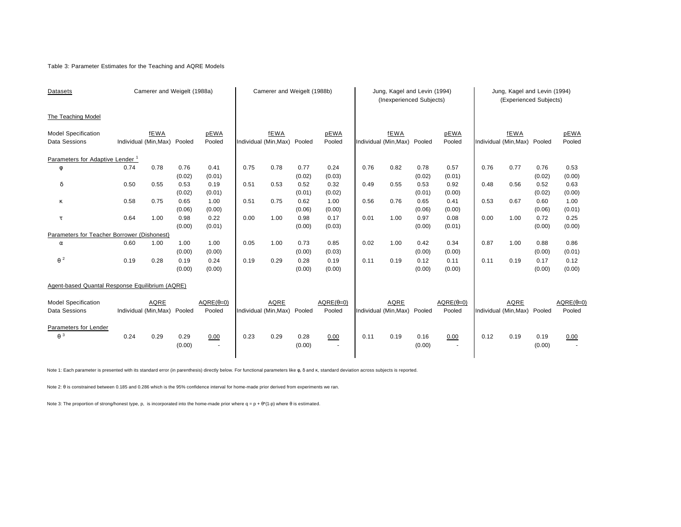### Table 3: Parameter Estimates for the Teaching and AQRE Models

| Datasets                                        |      | Camerer and Weigelt (1988a)  |                |                        | Camerer and Weigelt (1988b) |                       |                |                                  | Jung, Kagel and Levin (1994)<br>(Inexperienced Subjects) |                       |                |                        | Jung, Kagel and Levin (1994)<br>(Experienced Subjects) |                              |                |                  |
|-------------------------------------------------|------|------------------------------|----------------|------------------------|-----------------------------|-----------------------|----------------|----------------------------------|----------------------------------------------------------|-----------------------|----------------|------------------------|--------------------------------------------------------|------------------------------|----------------|------------------|
| The Teaching Model                              |      |                              |                |                        |                             |                       |                |                                  |                                                          |                       |                |                        |                                                        |                              |                |                  |
| <b>Model Specification</b>                      |      | fEWA                         |                | pEWA                   |                             | <b>fEWA</b>           |                | pEWA                             |                                                          | <b>fEWA</b>           |                | pEWA                   |                                                        | fEWA                         |                | pEWA             |
| <b>Data Sessions</b>                            |      | Individual (Min, Max) Pooled |                | Pooled                 |                             | Individual (Min, Max) | Pooled         | Pooled                           |                                                          | Individual (Min, Max) | Pooled         | Pooled                 |                                                        | Individual (Min, Max) Pooled |                | Pooled           |
| Parameters for Adaptive Lender <sup>1</sup>     |      |                              |                |                        |                             |                       |                |                                  |                                                          |                       |                |                        |                                                        |                              |                |                  |
| φ                                               | 0.74 | 0.78                         | 0.76           | 0.41                   | 0.75                        | 0.78                  | 0.77           | 0.24                             | 0.76                                                     | 0.82                  | 0.78           | 0.57                   | 0.76                                                   | 0.77                         | 0.76           | 0.53             |
|                                                 |      |                              | (0.02)         | (0.01)                 |                             |                       | (0.02)         | (0.03)                           |                                                          |                       | (0.02)         | (0.01)                 |                                                        |                              | (0.02)         | (0.00)           |
| δ                                               | 0.50 | 0.55                         | 0.53           | 0.19                   | 0.51                        | 0.53                  | 0.52           | 0.32                             | 0.49                                                     | 0.55                  | 0.53           | 0.92                   | 0.48                                                   | 0.56                         | 0.52           | 0.63             |
|                                                 |      |                              | (0.02)         | (0.01)                 |                             |                       | (0.01)         | (0.02)                           |                                                          |                       | (0.01)         | (0.00)                 |                                                        |                              | (0.02)         | (0.00)           |
| κ                                               | 0.58 | 0.75                         | 0.65           | 1.00                   | 0.51                        | 0.75                  | 0.62           | 1.00                             | 0.56                                                     | 0.76                  | 0.65           | 0.41                   | 0.53                                                   | 0.67                         | 0.60           | 1.00             |
|                                                 |      |                              | (0.06)         | (0.00)                 |                             |                       | (0.06)         | (0.00)                           |                                                          |                       | (0.06)         | (0.00)                 |                                                        |                              | (0.06)         | (0.01)           |
| τ                                               | 0.64 | 1.00                         | 0.98           | 0.22                   | 0.00                        | 1.00                  | 0.98           | 0.17                             | 0.01                                                     | 1.00                  | 0.97           | 0.08                   | 0.00                                                   | 1.00                         | 0.72           | 0.25             |
|                                                 |      |                              | (0.00)         | (0.01)                 |                             |                       | (0.00)         | (0.03)                           |                                                          |                       | (0.00)         | (0.01)                 |                                                        |                              | (0.00)         | (0.00)           |
| Parameters for Teacher Borrower (Dishonest)     |      |                              |                |                        |                             |                       |                |                                  |                                                          |                       |                |                        |                                                        |                              |                |                  |
| $\alpha$                                        | 0.60 | 1.00                         | 1.00           | 1.00                   | 0.05                        | 1.00                  | 0.73           | 0.85                             | 0.02                                                     | 1.00                  | 0.42           | 0.34                   | 0.87                                                   | 1.00                         | 0.88           | 0.86             |
|                                                 |      |                              | (0.00)         | (0.00)                 |                             |                       | (0.00)         | (0.03)                           |                                                          |                       | (0.00)         | (0.00)                 |                                                        |                              | (0.00)         | (0.01)           |
| $\theta^2$                                      | 0.19 | 0.28                         | 0.19           | 0.24                   | 0.19                        | 0.29                  | 0.28           | 0.19                             | 0.11                                                     | 0.19                  | 0.12           | 0.11                   | 0.11                                                   | 0.19                         | 0.17           | 0.12             |
|                                                 |      |                              | (0.00)         | (0.00)                 |                             |                       | (0.00)         | (0.00)                           |                                                          |                       | (0.00)         | (0.00)                 |                                                        |                              | (0.00)         | (0.00)           |
| Agent-based Quantal Response Equilibrium (AQRE) |      |                              |                |                        |                             |                       |                |                                  |                                                          |                       |                |                        |                                                        |                              |                |                  |
| Model Specification                             |      | AQRE                         |                | $AQRE(\theta=0)$       |                             | <b>AQRE</b>           |                | $AQRE(\theta=0)$                 |                                                          | AQRE                  |                | $AQRE(\theta=0)$       |                                                        | AQRE                         |                | $AQRE(\theta=0)$ |
| <b>Data Sessions</b>                            |      | Individual (Min, Max)        | Pooled         | Pooled                 |                             | Individual (Min, Max) | Pooled         | Pooled                           |                                                          | Individual (Min, Max) | Pooled         | Pooled                 |                                                        | Individual (Min, Max)        | Pooled         | Pooled           |
| Parameters for Lender<br>$\theta$ <sup>3</sup>  |      |                              |                |                        |                             |                       |                |                                  |                                                          |                       |                |                        |                                                        |                              |                |                  |
|                                                 | 0.24 | 0.29                         | 0.29<br>(0.00) | 0.00<br>$\blacksquare$ | 0.23                        | 0.29                  | 0.28<br>(0.00) | 0.00<br>$\overline{\phantom{a}}$ | 0.11                                                     | 0.19                  | 0.16<br>(0.00) | 0.00<br>$\blacksquare$ | 0.12                                                   | 0.19                         | 0.19<br>(0.00) | 0.00             |
|                                                 |      |                              |                |                        |                             |                       |                |                                  |                                                          |                       |                |                        |                                                        |                              |                |                  |

Note 1: Each parameter is presented with its standard error (in parenthesis) directly below. For functional parameters like φ, δ and κ, standard deviation across subjects is reported.

Note 2: θ is constrained between 0.185 and 0.286 which is the 95% confidence interval for home-made prior derived from experiments we ran.

Note 3: The proportion of strong/honest type, p, is incorporated into the home-made prior where  $q = p + \theta^*(1-p)$  where  $\theta$  is estimated.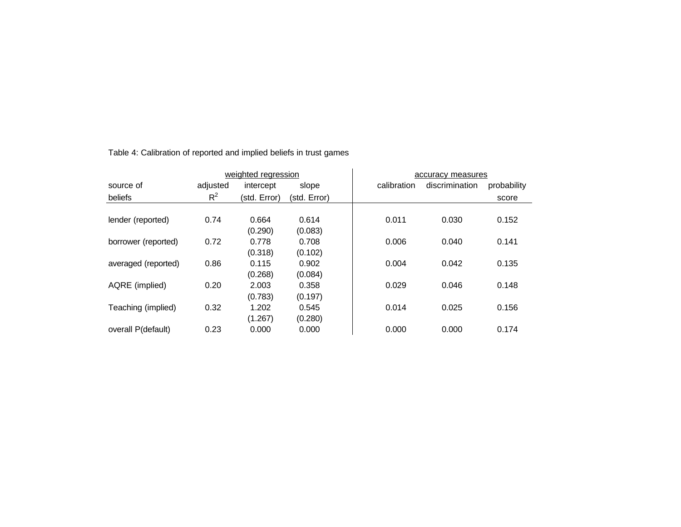|                     |          | weighted regression |              | accuracy measures |                |             |
|---------------------|----------|---------------------|--------------|-------------------|----------------|-------------|
| source of           | adjusted | intercept           | slope        | calibration       | discrimination | probability |
| beliefs             | $R^2$    | (std. Error)        | (std. Error) |                   |                | score       |
|                     |          |                     |              |                   |                |             |
| lender (reported)   | 0.74     | 0.664               | 0.614        | 0.011             | 0.030          | 0.152       |
|                     |          | (0.290)             | (0.083)      |                   |                |             |
| borrower (reported) | 0.72     | 0.778               | 0.708        | 0.006             | 0.040          | 0.141       |
|                     |          | (0.318)             | (0.102)      |                   |                |             |
| averaged (reported) | 0.86     | 0.115               | 0.902        | 0.004             | 0.042          | 0.135       |
|                     |          | (0.268)             | (0.084)      |                   |                |             |
| AQRE (implied)      | 0.20     | 2.003               | 0.358        | 0.029             | 0.046          | 0.148       |
|                     |          | (0.783)             | (0.197)      |                   |                |             |
| Teaching (implied)  | 0.32     | 1.202               | 0.545        | 0.014             | 0.025          | 0.156       |
|                     |          | (1.267)             | (0.280)      |                   |                |             |
| overall P(default)  | 0.23     | 0.000               | 0.000        | 0.000             | 0.000          | 0.174       |

Table 4: Calibration of reported and implied beliefs in trust games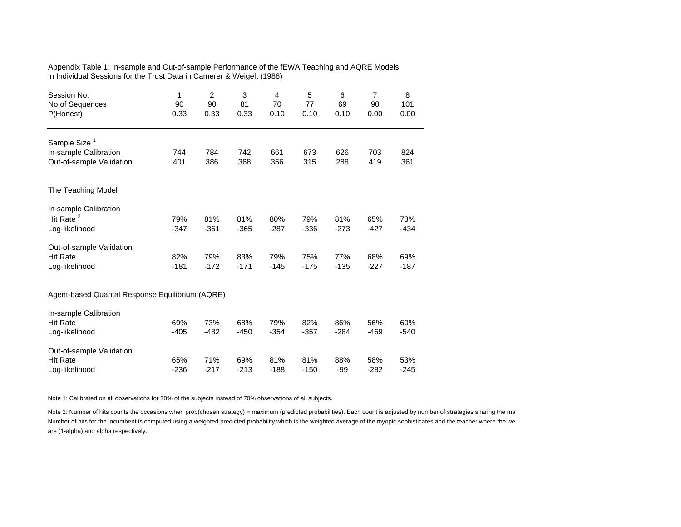### Appendix Table 1: In-sample and Out-of-sample Performance of the fEWA Teaching and AQRE Models in Individual Sessions for the Trust Data in Camerer & Weigelt (1988)

| Session No.<br>No of Sequences<br>P(Honest)       | 1<br>90<br>0.33 | $\overline{2}$<br>90<br>0.33 | 3<br>81<br>0.33 | 4<br>70<br>0.10 | 5<br>77<br>0.10 | 6<br>69<br>0.10 | $\overline{7}$<br>90<br>0.00 | 8<br>101<br>0.00 |
|---------------------------------------------------|-----------------|------------------------------|-----------------|-----------------|-----------------|-----------------|------------------------------|------------------|
| Sample Size <sup>1</sup><br>In-sample Calibration | 744             | 784                          | 742             | 661             | 673             | 626             | 703                          | 824              |
| Out-of-sample Validation                          | 401             | 386                          | 368             | 356             | 315             | 288             | 419                          | 361              |
| <b>The Teaching Model</b>                         |                 |                              |                 |                 |                 |                 |                              |                  |
| In-sample Calibration                             |                 |                              |                 |                 |                 |                 |                              |                  |
| Hit Rate <sup>2</sup>                             | 79%             | 81%                          | 81%             | 80%             | 79%             | 81%             | 65%                          | 73%              |
| Log-likelihood                                    | $-347$          | $-361$                       | $-365$          | $-287$          | $-336$          | $-273$          | $-427$                       | $-434$           |
| Out-of-sample Validation                          |                 |                              |                 |                 |                 |                 |                              |                  |
| <b>Hit Rate</b>                                   | 82%             | 79%                          | 83%             | 79%             | 75%             | 77%             | 68%                          | 69%              |
| Log-likelihood                                    | $-181$          | $-172$                       | $-171$          | $-145$          | $-175$          | $-135$          | $-227$                       | $-187$           |
| Agent-based Quantal Response Equilibrium (AQRE)   |                 |                              |                 |                 |                 |                 |                              |                  |
| In-sample Calibration                             |                 |                              |                 |                 |                 |                 |                              |                  |
| <b>Hit Rate</b>                                   | 69%             | 73%                          | 68%             | 79%             | 82%             | 86%             | 56%                          | 60%              |
| Log-likelihood                                    | $-405$          | $-482$                       | $-450$          | $-354$          | $-357$          | $-284$          | $-469$                       | $-540$           |
| Out-of-sample Validation                          |                 |                              |                 |                 |                 |                 |                              |                  |
| <b>Hit Rate</b>                                   | 65%             | 71%                          | 69%             | 81%             | 81%             | 88%             | 58%                          | 53%              |
| Log-likelihood                                    | $-236$          | $-217$                       | $-213$          | $-188$          | $-150$          | $-99$           | $-282$                       | $-245$           |

Note 1: Calibrated on all observations for 70% of the subjects instead of 70% observations of all subjects.

Note 2: Number of hits counts the occasions when prob(chosen strategy) = maximum (predicted probabilities). Each count is adjusted by number of strategies sharing the ma Number of hits for the incumbent is computed using a weighted predicted probability which is the weighted average of the myopic sophisticates and the teacher where the we are (1-alpha) and alpha respectively.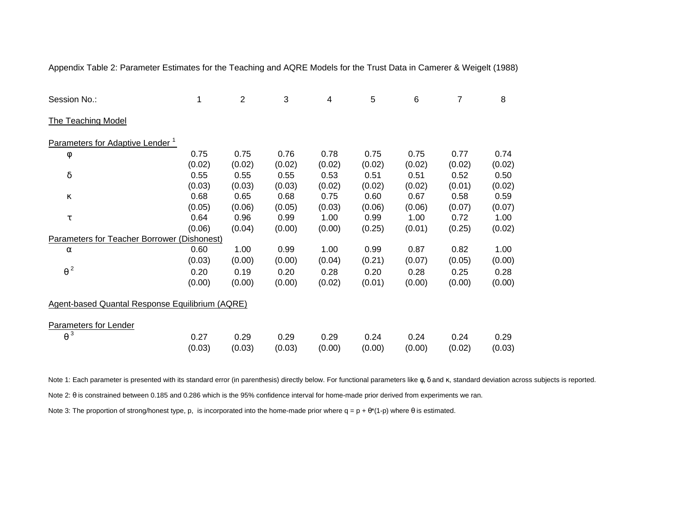| Session No.:                                           | 1      | $\overline{2}$ | 3      | $\overline{\mathcal{A}}$ | 5      | 6      | $\overline{7}$ | 8      |
|--------------------------------------------------------|--------|----------------|--------|--------------------------|--------|--------|----------------|--------|
| <b>The Teaching Model</b>                              |        |                |        |                          |        |        |                |        |
| Parameters for Adaptive Lender <sup>1</sup>            |        |                |        |                          |        |        |                |        |
| φ                                                      | 0.75   | 0.75           | 0.76   | 0.78                     | 0.75   | 0.75   | 0.77           | 0.74   |
|                                                        | (0.02) | (0.02)         | (0.02) | (0.02)                   | (0.02) | (0.02) | (0.02)         | (0.02) |
| $\delta$                                               | 0.55   | 0.55           | 0.55   | 0.53                     | 0.51   | 0.51   | 0.52           | 0.50   |
|                                                        | (0.03) | (0.03)         | (0.03) | (0.02)                   | (0.02) | (0.02) | (0.01)         | (0.02) |
| К                                                      | 0.68   | 0.65           | 0.68   | 0.75                     | 0.60   | 0.67   | 0.58           | 0.59   |
|                                                        | (0.05) | (0.06)         | (0.05) | (0.03)                   | (0.06) | (0.06) | (0.07)         | (0.07) |
| τ                                                      | 0.64   | 0.96           | 0.99   | 1.00                     | 0.99   | 1.00   | 0.72           | 1.00   |
|                                                        | (0.06) | (0.04)         | (0.00) | (0.00)                   | (0.25) | (0.01) | (0.25)         | (0.02) |
| <b>Parameters for Teacher Borrower (Dishonest)</b>     |        |                |        |                          |        |        |                |        |
| $\alpha$                                               | 0.60   | 1.00           | 0.99   | 1.00                     | 0.99   | 0.87   | 0.82           | 1.00   |
|                                                        | (0.03) | (0.00)         | (0.00) | (0.04)                   | (0.21) | (0.07) | (0.05)         | (0.00) |
| $\theta^2$                                             | 0.20   | 0.19           | 0.20   | 0.28                     | 0.20   | 0.28   | 0.25           | 0.28   |
|                                                        | (0.00) | (0.00)         | (0.00) | (0.02)                   | (0.01) | (0.00) | (0.00)         | (0.00) |
| <b>Agent-based Quantal Response Equilibrium (AQRE)</b> |        |                |        |                          |        |        |                |        |
| <b>Parameters for Lender</b>                           |        |                |        |                          |        |        |                |        |
| $\theta^3$                                             | 0.27   | 0.29           | 0.29   | 0.29                     | 0.24   | 0.24   | 0.24           | 0.29   |
|                                                        | (0.03) | (0.03)         | (0.03) | (0.00)                   | (0.00) | (0.00) | (0.02)         | (0.03) |

Appendix Table 2: Parameter Estimates for the Teaching and AQRE Models for the Trust Data in Camerer & Weigelt (1988)

Note 1: Each parameter is presented with its standard error (in parenthesis) directly below. For functional parameters like φ, δ and κ, standard deviation across subjects is reported. Note 2: θ is constrained between 0.185 and 0.286 which is the 95% confidence interval for home-made prior derived from experiments we ran.

Note 3: The proportion of strong/honest type, p, is incorporated into the home-made prior where  $q = p + \theta^*(1-p)$  where  $\theta$  is estimated.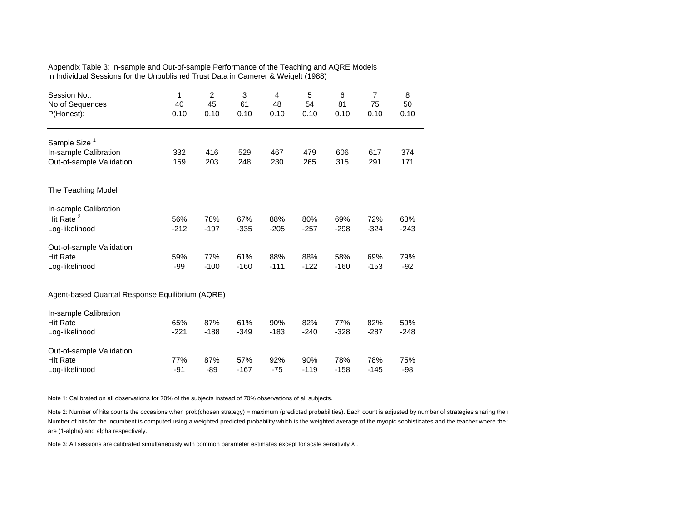| Appendix Table 3: In-sample and Out-of-sample Performance of the Teaching and AQRE Models |  |
|-------------------------------------------------------------------------------------------|--|
| in Individual Sessions for the Unpublished Trust Data in Camerer & Weigelt (1988)         |  |

| Session No.:<br>No of Sequences<br>P(Honest):                                 | 1<br>40<br>0.10 | $\overline{2}$<br>45<br>0.10 | 3<br>61<br>0.10 | 4<br>48<br>0.10 | 5<br>54<br>0.10 | 6<br>81<br>0.10 | $\overline{7}$<br>75<br>0.10 | 8<br>50<br>0.10 |
|-------------------------------------------------------------------------------|-----------------|------------------------------|-----------------|-----------------|-----------------|-----------------|------------------------------|-----------------|
| Sample Size <sup>1</sup><br>In-sample Calibration<br>Out-of-sample Validation | 332<br>159      | 416<br>203                   | 529<br>248      | 467<br>230      | 479<br>265      | 606<br>315      | 617<br>291                   | 374<br>171      |
| <b>The Teaching Model</b>                                                     |                 |                              |                 |                 |                 |                 |                              |                 |
| In-sample Calibration<br>Hit Rate <sup>2</sup><br>Log-likelihood              | 56%<br>$-212$   | 78%<br>$-197$                | 67%<br>$-335$   | 88%<br>$-205$   | 80%<br>$-257$   | 69%<br>$-298$   | 72%<br>$-324$                | 63%<br>$-243$   |
| Out-of-sample Validation<br><b>Hit Rate</b><br>Log-likelihood                 | 59%<br>$-99$    | 77%<br>$-100$                | 61%<br>$-160$   | 88%<br>$-111$   | 88%<br>$-122$   | 58%<br>$-160$   | 69%<br>$-153$                | 79%<br>$-92$    |
| Agent-based Quantal Response Equilibrium (AQRE)                               |                 |                              |                 |                 |                 |                 |                              |                 |
| In-sample Calibration<br><b>Hit Rate</b><br>Log-likelihood                    | 65%<br>$-221$   | 87%<br>$-188$                | 61%<br>$-349$   | 90%<br>$-183$   | 82%<br>$-240$   | 77%<br>$-328$   | 82%<br>$-287$                | 59%<br>$-248$   |
| Out-of-sample Validation<br><b>Hit Rate</b><br>Log-likelihood                 | 77%<br>$-91$    | 87%<br>$-89$                 | 57%<br>$-167$   | 92%<br>$-75$    | 90%<br>$-119$   | 78%<br>$-158$   | 78%<br>$-145$                | 75%<br>$-98$    |

Note 1: Calibrated on all observations for 70% of the subjects instead of 70% observations of all subjects.

Note 2: Number of hits counts the occasions when prob(chosen strategy) = maximum (predicted probabilities). Each count is adjusted by number of strategies sharing the r Number of hits for the incumbent is computed using a weighted predicted probability which is the weighted average of the myopic sophisticates and the teacher where the v are (1-alpha) and alpha respectively.

Note 3: All sessions are calibrated simultaneously with common parameter estimates except for scale sensitivity  $\lambda$  .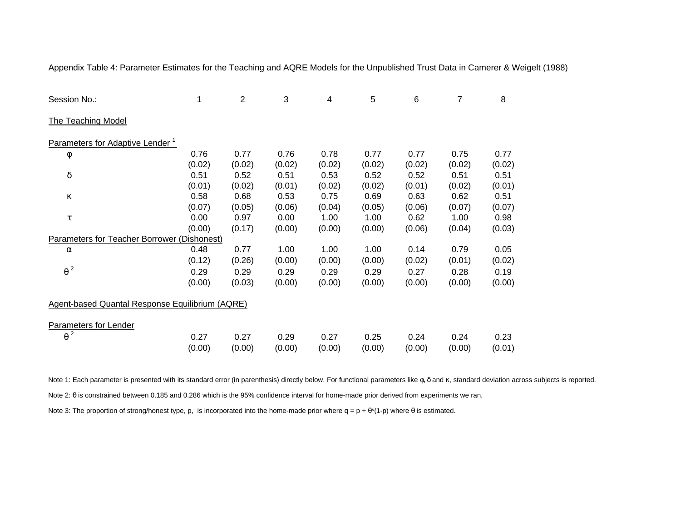| Session No.:                                    | 1      | $\overline{2}$ | 3      | 4      | 5      | 6      | 7      | 8      |
|-------------------------------------------------|--------|----------------|--------|--------|--------|--------|--------|--------|
| <b>The Teaching Model</b>                       |        |                |        |        |        |        |        |        |
| Parameters for Adaptive Lender <sup>1</sup>     |        |                |        |        |        |        |        |        |
| φ                                               | 0.76   | 0.77           | 0.76   | 0.78   | 0.77   | 0.77   | 0.75   | 0.77   |
|                                                 | (0.02) | (0.02)         | (0.02) | (0.02) | (0.02) | (0.02) | (0.02) | (0.02) |
| $\delta$                                        | 0.51   | 0.52           | 0.51   | 0.53   | 0.52   | 0.52   | 0.51   | 0.51   |
|                                                 | (0.01) | (0.02)         | (0.01) | (0.02) | (0.02) | (0.01) | (0.02) | (0.01) |
| к                                               | 0.58   | 0.68           | 0.53   | 0.75   | 0.69   | 0.63   | 0.62   | 0.51   |
|                                                 | (0.07) | (0.05)         | (0.06) | (0.04) | (0.05) | (0.06) | (0.07) | (0.07) |
| τ                                               | 0.00   | 0.97           | 0.00   | 1.00   | 1.00   | 0.62   | 1.00   | 0.98   |
|                                                 | (0.00) | (0.17)         | (0.00) | (0.00) | (0.00) | (0.06) | (0.04) | (0.03) |
| Parameters for Teacher Borrower (Dishonest)     |        |                |        |        |        |        |        |        |
| $\alpha$                                        | 0.48   | 0.77           | 1.00   | 1.00   | 1.00   | 0.14   | 0.79   | 0.05   |
|                                                 | (0.12) | (0.26)         | (0.00) | (0.00) | (0.00) | (0.02) | (0.01) | (0.02) |
| $\theta^2$                                      | 0.29   | 0.29           | 0.29   | 0.29   | 0.29   | 0.27   | 0.28   | 0.19   |
|                                                 | (0.00) | (0.03)         | (0.00) | (0.00) | (0.00) | (0.00) | (0.00) | (0.00) |
| Agent-based Quantal Response Equilibrium (AQRE) |        |                |        |        |        |        |        |        |
| <b>Parameters for Lender</b>                    |        |                |        |        |        |        |        |        |
| $\theta^2$                                      | 0.27   | 0.27           | 0.29   | 0.27   | 0.25   | 0.24   | 0.24   | 0.23   |
|                                                 | (0.00) | (0.00)         | (0.00) | (0.00) | (0.00) | (0.00) | (0.00) | (0.01) |

Appendix Table 4: Parameter Estimates for the Teaching and AQRE Models for the Unpublished Trust Data in Camerer & Weigelt (1988)

Note 1: Each parameter is presented with its standard error (in parenthesis) directly below. For functional parameters like φ, δ and κ, standard deviation across subjects is reported. Note 2: θ is constrained between 0.185 and 0.286 which is the 95% confidence interval for home-made prior derived from experiments we ran.

Note 3: The proportion of strong/honest type, p, is incorporated into the home-made prior where  $q = p + \theta^*(1-p)$  where  $\theta$  is estimated.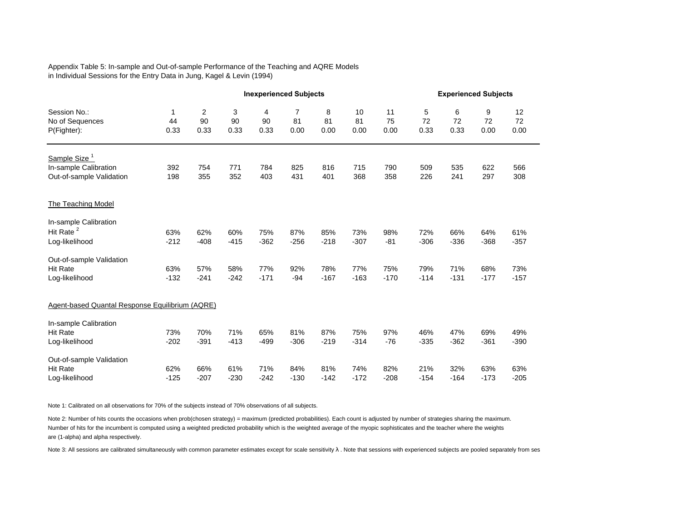### Appendix Table 5: In-sample and Out-of-sample Performance of the Teaching and AQRE Models in Individual Sessions for the Entry Data in Jung, Kagel & Levin (1994)

|                                                   |                 |                 |                 |                 | <b>Inexperienced Subjects</b> |                 |                  |                  |                 | <b>Experienced Subjects</b> |                 |                  |  |
|---------------------------------------------------|-----------------|-----------------|-----------------|-----------------|-------------------------------|-----------------|------------------|------------------|-----------------|-----------------------------|-----------------|------------------|--|
| Session No.:<br>No of Sequences<br>P(Fighter):    | 1<br>44<br>0.33 | 2<br>90<br>0.33 | 3<br>90<br>0.33 | 4<br>90<br>0.33 | $\overline{7}$<br>81<br>0.00  | 8<br>81<br>0.00 | 10<br>81<br>0.00 | 11<br>75<br>0.00 | 5<br>72<br>0.33 | 6<br>72<br>0.33             | 9<br>72<br>0.00 | 12<br>72<br>0.00 |  |
| Sample Size <sup>1</sup><br>In-sample Calibration | 392             | 754             | 771             | 784             | 825                           | 816             | 715              | 790              | 509             | 535                         | 622             | 566              |  |
| Out-of-sample Validation                          | 198             | 355             | 352             | 403             | 431                           | 401             | 368              | 358              | 226             | 241                         | 297             | 308              |  |
| The Teaching Model                                |                 |                 |                 |                 |                               |                 |                  |                  |                 |                             |                 |                  |  |
| In-sample Calibration                             |                 |                 |                 |                 |                               |                 |                  |                  |                 |                             |                 |                  |  |
| Hit Rate <sup>2</sup>                             | 63%             | 62%             | 60%             | 75%             | 87%                           | 85%             | 73%              | 98%              | 72%             | 66%                         | 64%             | 61%              |  |
| Log-likelihood                                    | $-212$          | $-408$          | $-415$          | $-362$          | $-256$                        | $-218$          | $-307$           | $-81$            | $-306$          | $-336$                      | $-368$          | $-357$           |  |
| Out-of-sample Validation                          |                 |                 |                 |                 |                               |                 |                  |                  |                 |                             |                 |                  |  |
| <b>Hit Rate</b>                                   | 63%             | 57%             | 58%             | 77%             | 92%                           | 78%             | 77%              | 75%              | 79%             | 71%                         | 68%             | 73%              |  |
| Log-likelihood                                    | $-132$          | $-241$          | $-242$          | $-171$          | $-94$                         | $-167$          | $-163$           | $-170$           | $-114$          | $-131$                      | $-177$          | $-157$           |  |
| Agent-based Quantal Response Equilibrium (AQRE)   |                 |                 |                 |                 |                               |                 |                  |                  |                 |                             |                 |                  |  |
| In-sample Calibration                             |                 |                 |                 |                 |                               |                 |                  |                  |                 |                             |                 |                  |  |
| <b>Hit Rate</b>                                   | 73%             | 70%             | 71%             | 65%             | 81%                           | 87%             | 75%              | 97%              | 46%             | 47%                         | 69%             | 49%              |  |
| Log-likelihood                                    | $-202$          | $-391$          | $-413$          | $-499$          | $-306$                        | $-219$          | $-314$           | $-76$            | $-335$          | $-362$                      | $-361$          | $-390$           |  |
| Out-of-sample Validation                          |                 |                 |                 |                 |                               |                 |                  |                  |                 |                             |                 |                  |  |
| <b>Hit Rate</b>                                   | 62%             | 66%             | 61%             | 71%             | 84%                           | 81%             | 74%              | 82%              | 21%             | 32%                         | 63%             | 63%              |  |
| Log-likelihood                                    | $-125$          | $-207$          | $-230$          | $-242$          | $-130$                        | $-142$          | $-172$           | $-208$           | $-154$          | $-164$                      | $-173$          | $-205$           |  |

Note 1: Calibrated on all observations for 70% of the subjects instead of 70% observations of all subjects.

Note 2: Number of hits counts the occasions when prob(chosen strategy) = maximum (predicted probabilities). Each count is adjusted by number of strategies sharing the maximum. Number of hits for the incumbent is computed using a weighted predicted probability which is the weighted average of the myopic sophisticates and the teacher where the weights are (1-alpha) and alpha respectively.

Note 3: All sessions are calibrated simultaneously with common parameter estimates except for scale sensitivity λ. Note that sessions with experienced subjects are pooled separately from ses